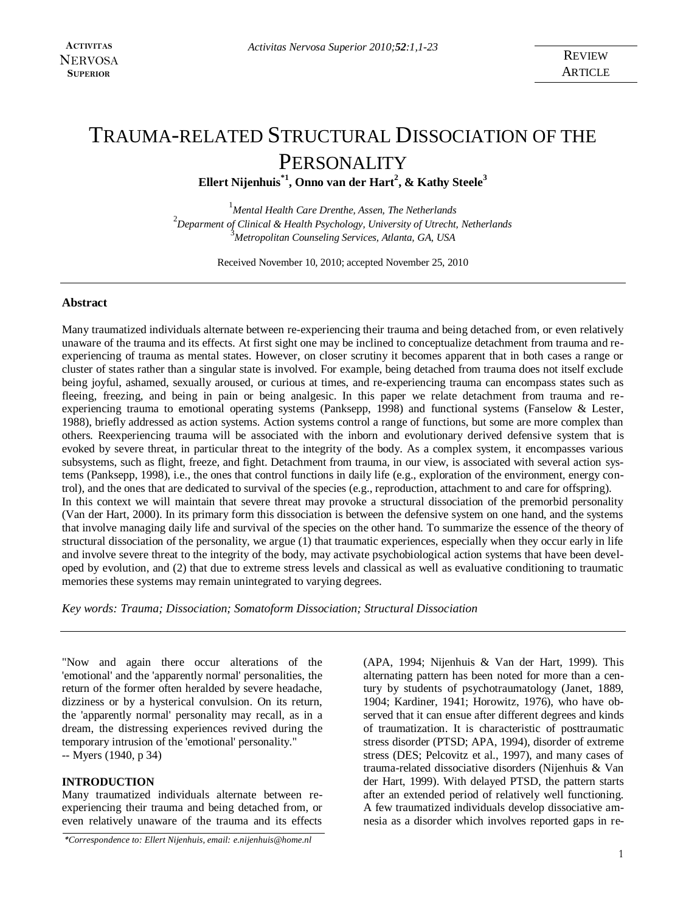# TRAUMA-RELATED STRUCTURAL DISSOCIATION OF THE **PERSONALITY**

**Ellert Nijenhuis\*1 , Onno van der Hart<sup>2</sup> , & Kathy Steele<sup>3</sup>**

<sup>1</sup>*Mental Health Care Drenthe, Assen, The Netherlands* 2 *Deparment of Clinical & Health Psychology, University of Utrecht, Netherlands* <sup>3</sup>*Metropolitan Counseling Services, Atlanta, GA, USA*

Received November 10, 2010; accepted November 25, 2010

#### **Abstract**

Many traumatized individuals alternate between re-experiencing their trauma and being detached from, or even relatively unaware of the trauma and its effects. At first sight one may be inclined to conceptualize detachment from trauma and reexperiencing of trauma as mental states. However, on closer scrutiny it becomes apparent that in both cases a range or cluster of states rather than a singular state is involved. For example, being detached from trauma does not itself exclude being joyful, ashamed, sexually aroused, or curious at times, and re-experiencing trauma can encompass states such as fleeing, freezing, and being in pain or being analgesic. In this paper we relate detachment from trauma and reexperiencing trauma to emotional operating systems (Panksepp, 1998) and functional systems (Fanselow & Lester, 1988), briefly addressed as action systems. Action systems control a range of functions, but some are more complex than others. Reexperiencing trauma will be associated with the inborn and evolutionary derived defensive system that is evoked by severe threat, in particular threat to the integrity of the body. As a complex system, it encompasses various subsystems, such as flight, freeze, and fight. Detachment from trauma, in our view, is associated with several action systems (Panksepp, 1998), i.e., the ones that control functions in daily life (e.g., exploration of the environment, energy control), and the ones that are dedicated to survival of the species (e.g., reproduction, attachment to and care for offspring). In this context we will maintain that severe threat may provoke a structural dissociation of the premorbid personality (Van der Hart, 2000). In its primary form this dissociation is between the defensive system on one hand, and the systems that involve managing daily life and survival of the species on the other hand. To summarize the essence of the theory of structural dissociation of the personality, we argue (1) that traumatic experiences, especially when they occur early in life and involve severe threat to the integrity of the body, may activate psychobiological action systems that have been developed by evolution, and (2) that due to extreme stress levels and classical as well as evaluative conditioning to traumatic memories these systems may remain unintegrated to varying degrees.

*Key words: Trauma; Dissociation; Somatoform Dissociation; Structural Dissociation*

"Now and again there occur alterations of the 'emotional' and the 'apparently normal' personalities, the return of the former often heralded by severe headache, dizziness or by a hysterical convulsion. On its return, the 'apparently normal' personality may recall, as in a dream, the distressing experiences revived during the temporary intrusion of the 'emotional' personality." -- Myers (1940, p 34)

#### **INTRODUCTION**

Many traumatized individuals alternate between reexperiencing their trauma and being detached from, or even relatively unaware of the trauma and its effects

(APA, 1994; Nijenhuis & Van der Hart, 1999). This alternating pattern has been noted for more than a century by students of psychotraumatology (Janet, 1889, 1904; Kardiner, 1941; Horowitz, 1976), who have observed that it can ensue after different degrees and kinds of traumatization. It is characteristic of posttraumatic stress disorder (PTSD; APA, 1994), disorder of extreme stress (DES; Pelcovitz et al., 1997), and many cases of trauma-related dissociative disorders (Nijenhuis & Van der Hart, 1999). With delayed PTSD, the pattern starts after an extended period of relatively well functioning. A few traumatized individuals develop dissociative amnesia as a disorder which involves reported gaps in re-

*<sup>\*</sup>Correspondence to: Ellert Nijenhuis, email: e.nijenhuis@home.nl*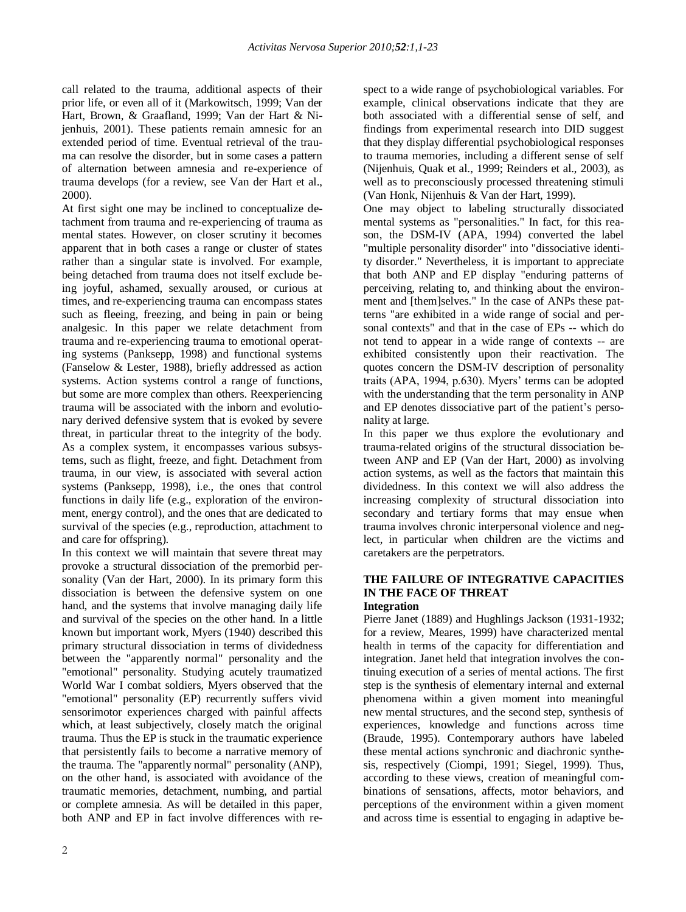call related to the trauma, additional aspects of their prior life, or even all of it (Markowitsch, 1999; Van der Hart, Brown, & Graafland, 1999; Van der Hart & Nijenhuis, 2001). These patients remain amnesic for an extended period of time. Eventual retrieval of the trauma can resolve the disorder, but in some cases a pattern of alternation between amnesia and re-experience of trauma develops (for a review, see Van der Hart et al., 2000).

At first sight one may be inclined to conceptualize detachment from trauma and re-experiencing of trauma as mental states. However, on closer scrutiny it becomes apparent that in both cases a range or cluster of states rather than a singular state is involved. For example, being detached from trauma does not itself exclude being joyful, ashamed, sexually aroused, or curious at times, and re-experiencing trauma can encompass states such as fleeing, freezing, and being in pain or being analgesic. In this paper we relate detachment from trauma and re-experiencing trauma to emotional operating systems (Panksepp, 1998) and functional systems (Fanselow & Lester, 1988), briefly addressed as action systems. Action systems control a range of functions, but some are more complex than others. Reexperiencing trauma will be associated with the inborn and evolutionary derived defensive system that is evoked by severe threat, in particular threat to the integrity of the body. As a complex system, it encompasses various subsystems, such as flight, freeze, and fight. Detachment from trauma, in our view, is associated with several action systems (Panksepp, 1998), i.e., the ones that control functions in daily life (e.g., exploration of the environment, energy control), and the ones that are dedicated to survival of the species (e.g., reproduction, attachment to and care for offspring).

In this context we will maintain that severe threat may provoke a structural dissociation of the premorbid personality (Van der Hart, 2000). In its primary form this dissociation is between the defensive system on one hand, and the systems that involve managing daily life and survival of the species on the other hand. In a little known but important work, Myers (1940) described this primary structural dissociation in terms of dividedness between the "apparently normal" personality and the "emotional" personality. Studying acutely traumatized World War I combat soldiers, Myers observed that the "emotional" personality (EP) recurrently suffers vivid sensorimotor experiences charged with painful affects which, at least subjectively, closely match the original trauma. Thus the EP is stuck in the traumatic experience that persistently fails to become a narrative memory of the trauma. The "apparently normal" personality (ANP), on the other hand, is associated with avoidance of the traumatic memories, detachment, numbing, and partial or complete amnesia. As will be detailed in this paper, both ANP and EP in fact involve differences with respect to a wide range of psychobiological variables. For example, clinical observations indicate that they are both associated with a differential sense of self, and findings from experimental research into DID suggest that they display differential psychobiological responses to trauma memories, including a different sense of self (Nijenhuis, Quak et al., 1999; Reinders et al., 2003), as well as to preconsciously processed threatening stimuli (Van Honk, Nijenhuis & Van der Hart, 1999).

One may object to labeling structurally dissociated mental systems as "personalities." In fact, for this reason, the DSM-IV (APA, 1994) converted the label "multiple personality disorder" into "dissociative identity disorder." Nevertheless, it is important to appreciate that both ANP and EP display "enduring patterns of perceiving, relating to, and thinking about the environment and [them]selves." In the case of ANPs these patterns "are exhibited in a wide range of social and personal contexts" and that in the case of EPs -- which do not tend to appear in a wide range of contexts -- are exhibited consistently upon their reactivation. The quotes concern the DSM-IV description of personality traits (APA, 1994, p.630). Myers' terms can be adopted with the understanding that the term personality in ANP and EP denotes dissociative part of the patient's personality at large.

In this paper we thus explore the evolutionary and trauma-related origins of the structural dissociation between ANP and EP (Van der Hart, 2000) as involving action systems, as well as the factors that maintain this dividedness. In this context we will also address the increasing complexity of structural dissociation into secondary and tertiary forms that may ensue when trauma involves chronic interpersonal violence and neglect, in particular when children are the victims and caretakers are the perpetrators.

# **THE FAILURE OF INTEGRATIVE CAPACITIES IN THE FACE OF THREAT**

#### **Integration**

Pierre Janet (1889) and Hughlings Jackson (1931-1932; for a review, Meares, 1999) have characterized mental health in terms of the capacity for differentiation and integration. Janet held that integration involves the continuing execution of a series of mental actions. The first step is the synthesis of elementary internal and external phenomena within a given moment into meaningful new mental structures, and the second step, synthesis of experiences, knowledge and functions across time (Braude, 1995). Contemporary authors have labeled these mental actions synchronic and diachronic synthesis, respectively (Ciompi, 1991; Siegel, 1999). Thus, according to these views, creation of meaningful combinations of sensations, affects, motor behaviors, and perceptions of the environment within a given moment and across time is essential to engaging in adaptive be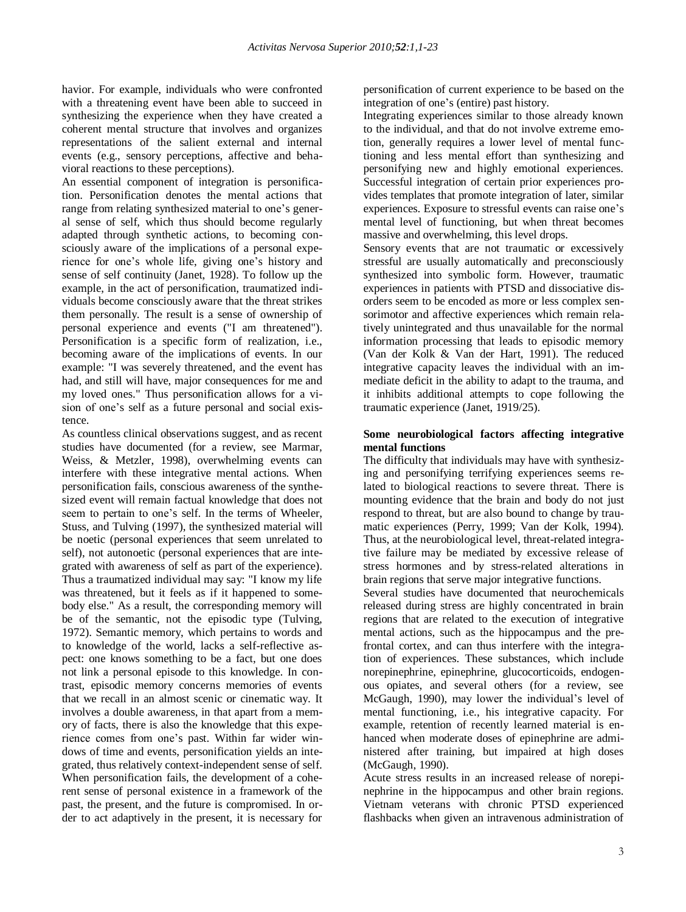havior. For example, individuals who were confronted with a threatening event have been able to succeed in synthesizing the experience when they have created a coherent mental structure that involves and organizes representations of the salient external and internal events (e.g., sensory perceptions, affective and behavioral reactions to these perceptions).

An essential component of integration is personification. Personification denotes the mental actions that range from relating synthesized material to one's general sense of self, which thus should become regularly adapted through synthetic actions, to becoming consciously aware of the implications of a personal experience for one's whole life, giving one's history and sense of self continuity (Janet, 1928). To follow up the example, in the act of personification, traumatized individuals become consciously aware that the threat strikes them personally. The result is a sense of ownership of personal experience and events ("I am threatened"). Personification is a specific form of realization, i.e., becoming aware of the implications of events. In our example: "I was severely threatened, and the event has had, and still will have, major consequences for me and my loved ones." Thus personification allows for a vision of one's self as a future personal and social existence.

As countless clinical observations suggest, and as recent studies have documented (for a review, see Marmar, Weiss, & Metzler, 1998), overwhelming events can interfere with these integrative mental actions. When personification fails, conscious awareness of the synthesized event will remain factual knowledge that does not seem to pertain to one's self. In the terms of Wheeler, Stuss, and Tulving (1997), the synthesized material will be noetic (personal experiences that seem unrelated to self), not autonoetic (personal experiences that are integrated with awareness of self as part of the experience). Thus a traumatized individual may say: "I know my life was threatened, but it feels as if it happened to somebody else." As a result, the corresponding memory will be of the semantic, not the episodic type (Tulving, 1972). Semantic memory, which pertains to words and to knowledge of the world, lacks a self-reflective aspect: one knows something to be a fact, but one does not link a personal episode to this knowledge. In contrast, episodic memory concerns memories of events that we recall in an almost scenic or cinematic way. It involves a double awareness, in that apart from a memory of facts, there is also the knowledge that this experience comes from one's past. Within far wider windows of time and events, personification yields an integrated, thus relatively context-independent sense of self. When personification fails, the development of a coherent sense of personal existence in a framework of the past, the present, and the future is compromised. In order to act adaptively in the present, it is necessary for

personification of current experience to be based on the integration of one's (entire) past history.

Integrating experiences similar to those already known to the individual, and that do not involve extreme emotion, generally requires a lower level of mental functioning and less mental effort than synthesizing and personifying new and highly emotional experiences. Successful integration of certain prior experiences provides templates that promote integration of later, similar experiences. Exposure to stressful events can raise one's mental level of functioning, but when threat becomes massive and overwhelming, this level drops.

Sensory events that are not traumatic or excessively stressful are usually automatically and preconsciously synthesized into symbolic form. However, traumatic experiences in patients with PTSD and dissociative disorders seem to be encoded as more or less complex sensorimotor and affective experiences which remain relatively unintegrated and thus unavailable for the normal information processing that leads to episodic memory (Van der Kolk & Van der Hart, 1991). The reduced integrative capacity leaves the individual with an immediate deficit in the ability to adapt to the trauma, and it inhibits additional attempts to cope following the traumatic experience (Janet, 1919/25).

#### **Some neurobiological factors affecting integrative mental functions**

The difficulty that individuals may have with synthesizing and personifying terrifying experiences seems related to biological reactions to severe threat. There is mounting evidence that the brain and body do not just respond to threat, but are also bound to change by traumatic experiences (Perry, 1999; Van der Kolk, 1994). Thus, at the neurobiological level, threat-related integrative failure may be mediated by excessive release of stress hormones and by stress-related alterations in brain regions that serve major integrative functions.

Several studies have documented that neurochemicals released during stress are highly concentrated in brain regions that are related to the execution of integrative mental actions, such as the hippocampus and the prefrontal cortex, and can thus interfere with the integration of experiences. These substances, which include norepinephrine, epinephrine, glucocorticoids, endogenous opiates, and several others (for a review, see McGaugh, 1990), may lower the individual's level of mental functioning, i.e., his integrative capacity. For example, retention of recently learned material is enhanced when moderate doses of epinephrine are administered after training, but impaired at high doses (McGaugh, 1990).

Acute stress results in an increased release of norepinephrine in the hippocampus and other brain regions. Vietnam veterans with chronic PTSD experienced flashbacks when given an intravenous administration of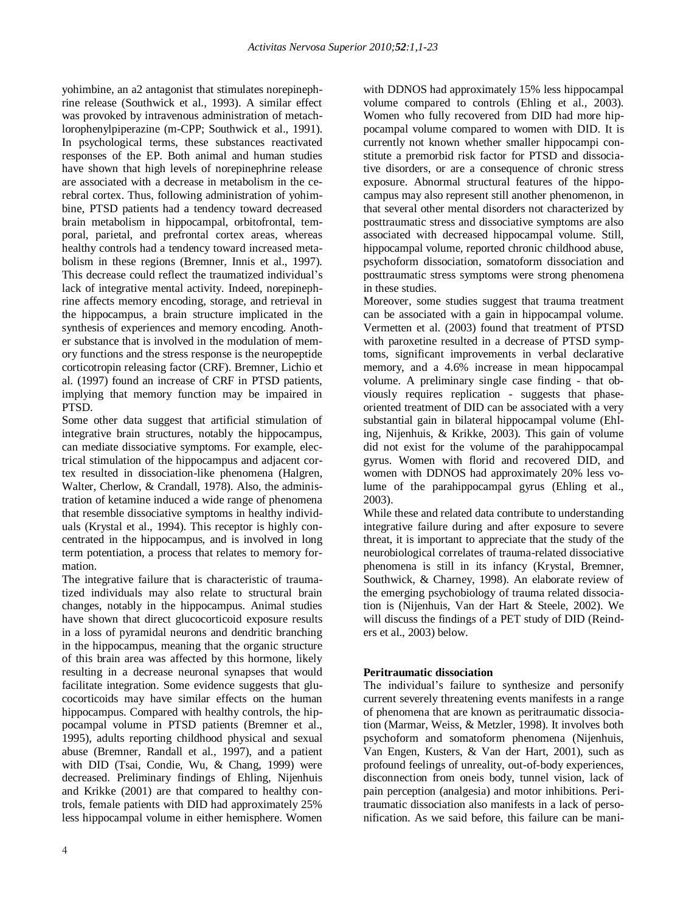yohimbine, an a2 antagonist that stimulates norepinephrine release (Southwick et al., 1993). A similar effect was provoked by intravenous administration of metachlorophenylpiperazine (m-CPP; Southwick et al., 1991). In psychological terms, these substances reactivated responses of the EP. Both animal and human studies have shown that high levels of norepinephrine release are associated with a decrease in metabolism in the cerebral cortex. Thus, following administration of yohimbine, PTSD patients had a tendency toward decreased brain metabolism in hippocampal, orbitofrontal, temporal, parietal, and prefrontal cortex areas, whereas healthy controls had a tendency toward increased metabolism in these regions (Bremner, Innis et al., 1997). This decrease could reflect the traumatized individual's lack of integrative mental activity. Indeed, norepinephrine affects memory encoding, storage, and retrieval in the hippocampus, a brain structure implicated in the synthesis of experiences and memory encoding. Another substance that is involved in the modulation of memory functions and the stress response is the neuropeptide corticotropin releasing factor (CRF). Bremner, Lichio et al. (1997) found an increase of CRF in PTSD patients, implying that memory function may be impaired in PTSD.

Some other data suggest that artificial stimulation of integrative brain structures, notably the hippocampus, can mediate dissociative symptoms. For example, electrical stimulation of the hippocampus and adjacent cortex resulted in dissociation-like phenomena (Halgren, Walter, Cherlow, & Crandall, 1978). Also, the administration of ketamine induced a wide range of phenomena that resemble dissociative symptoms in healthy individuals (Krystal et al., 1994). This receptor is highly concentrated in the hippocampus, and is involved in long term potentiation, a process that relates to memory formation.

The integrative failure that is characteristic of traumatized individuals may also relate to structural brain changes, notably in the hippocampus. Animal studies have shown that direct glucocorticoid exposure results in a loss of pyramidal neurons and dendritic branching in the hippocampus, meaning that the organic structure of this brain area was affected by this hormone, likely resulting in a decrease neuronal synapses that would facilitate integration. Some evidence suggests that glucocorticoids may have similar effects on the human hippocampus. Compared with healthy controls, the hippocampal volume in PTSD patients (Bremner et al., 1995), adults reporting childhood physical and sexual abuse (Bremner, Randall et al., 1997), and a patient with DID (Tsai, Condie, Wu, & Chang, 1999) were decreased. Preliminary findings of Ehling, Nijenhuis and Krikke (2001) are that compared to healthy controls, female patients with DID had approximately 25% less hippocampal volume in either hemisphere. Women

with DDNOS had approximately 15% less hippocampal volume compared to controls (Ehling et al., 2003). Women who fully recovered from DID had more hippocampal volume compared to women with DID. It is currently not known whether smaller hippocampi constitute a premorbid risk factor for PTSD and dissociative disorders, or are a consequence of chronic stress exposure. Abnormal structural features of the hippocampus may also represent still another phenomenon, in that several other mental disorders not characterized by posttraumatic stress and dissociative symptoms are also associated with decreased hippocampal volume. Still, hippocampal volume, reported chronic childhood abuse, psychoform dissociation, somatoform dissociation and posttraumatic stress symptoms were strong phenomena in these studies.

Moreover, some studies suggest that trauma treatment can be associated with a gain in hippocampal volume. Vermetten et al. (2003) found that treatment of PTSD with paroxetine resulted in a decrease of PTSD symptoms, significant improvements in verbal declarative memory, and a 4.6% increase in mean hippocampal volume. A preliminary single case finding - that obviously requires replication - suggests that phaseoriented treatment of DID can be associated with a very substantial gain in bilateral hippocampal volume (Ehling, Nijenhuis, & Krikke, 2003). This gain of volume did not exist for the volume of the parahippocampal gyrus. Women with florid and recovered DID, and women with DDNOS had approximately 20% less volume of the parahippocampal gyrus (Ehling et al., 2003).

While these and related data contribute to understanding integrative failure during and after exposure to severe threat, it is important to appreciate that the study of the neurobiological correlates of trauma-related dissociative phenomena is still in its infancy (Krystal, Bremner, Southwick, & Charney, 1998). An elaborate review of the emerging psychobiology of trauma related dissociation is (Nijenhuis, Van der Hart & Steele, 2002). We will discuss the findings of a PET study of DID (Reinders et al., 2003) below.

# **Peritraumatic dissociation**

The individual's failure to synthesize and personify current severely threatening events manifests in a range of phenomena that are known as peritraumatic dissociation (Marmar, Weiss, & Metzler, 1998). It involves both psychoform and somatoform phenomena (Nijenhuis, Van Engen, Kusters, & Van der Hart, 2001), such as profound feelings of unreality, out-of-body experiences, disconnection from oneis body, tunnel vision, lack of pain perception (analgesia) and motor inhibitions. Peritraumatic dissociation also manifests in a lack of personification. As we said before, this failure can be mani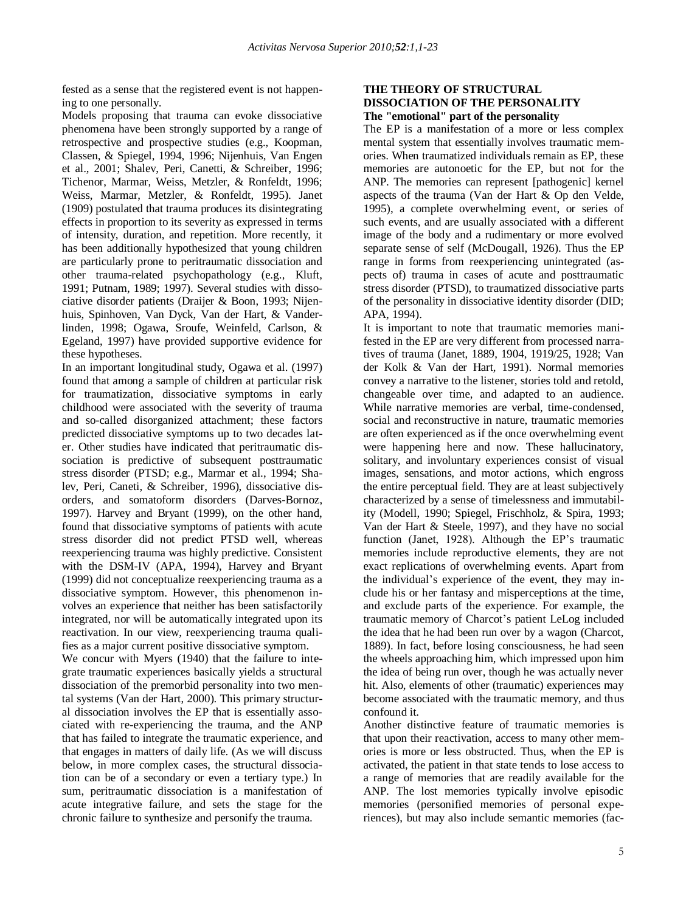fested as a sense that the registered event is not happening to one personally.

Models proposing that trauma can evoke dissociative phenomena have been strongly supported by a range of retrospective and prospective studies (e.g., Koopman, Classen, & Spiegel, 1994, 1996; Nijenhuis, Van Engen et al., 2001; Shalev, Peri, Canetti, & Schreiber, 1996; Tichenor, Marmar, Weiss, Metzler, & Ronfeldt, 1996; Weiss, Marmar, Metzler, & Ronfeldt, 1995). Janet (1909) postulated that trauma produces its disintegrating effects in proportion to its severity as expressed in terms of intensity, duration, and repetition. More recently, it has been additionally hypothesized that young children are particularly prone to peritraumatic dissociation and other trauma-related psychopathology (e.g., Kluft, 1991; Putnam, 1989; 1997). Several studies with dissociative disorder patients (Draijer & Boon, 1993; Nijenhuis, Spinhoven, Van Dyck, Van der Hart, & Vanderlinden, 1998; Ogawa, Sroufe, Weinfeld, Carlson, & Egeland, 1997) have provided supportive evidence for these hypotheses.

In an important longitudinal study, Ogawa et al. (1997) found that among a sample of children at particular risk for traumatization, dissociative symptoms in early childhood were associated with the severity of trauma and so-called disorganized attachment; these factors predicted dissociative symptoms up to two decades later. Other studies have indicated that peritraumatic dissociation is predictive of subsequent posttraumatic stress disorder (PTSD; e.g., Marmar et al., 1994; Shalev, Peri, Caneti, & Schreiber, 1996), dissociative disorders, and somatoform disorders (Darves-Bornoz, 1997). Harvey and Bryant (1999), on the other hand, found that dissociative symptoms of patients with acute stress disorder did not predict PTSD well, whereas reexperiencing trauma was highly predictive. Consistent with the DSM-IV (APA, 1994), Harvey and Bryant (1999) did not conceptualize reexperiencing trauma as a dissociative symptom. However, this phenomenon involves an experience that neither has been satisfactorily integrated, nor will be automatically integrated upon its reactivation. In our view, reexperiencing trauma qualifies as a major current positive dissociative symptom.

We concur with Myers (1940) that the failure to integrate traumatic experiences basically yields a structural dissociation of the premorbid personality into two mental systems (Van der Hart, 2000). This primary structural dissociation involves the EP that is essentially associated with re-experiencing the trauma, and the ANP that has failed to integrate the traumatic experience, and that engages in matters of daily life. (As we will discuss below, in more complex cases, the structural dissociation can be of a secondary or even a tertiary type.) In sum, peritraumatic dissociation is a manifestation of acute integrative failure, and sets the stage for the chronic failure to synthesize and personify the trauma.

#### **THE THEORY OF STRUCTURAL DISSOCIATION OF THE PERSONALITY The "emotional" part of the personality**

The EP is a manifestation of a more or less complex mental system that essentially involves traumatic memories. When traumatized individuals remain as EP, these memories are autonoetic for the EP, but not for the ANP. The memories can represent [pathogenic] kernel aspects of the trauma (Van der Hart & Op den Velde, 1995), a complete overwhelming event, or series of such events, and are usually associated with a different image of the body and a rudimentary or more evolved separate sense of self (McDougall, 1926). Thus the EP range in forms from reexperiencing unintegrated (aspects of) trauma in cases of acute and posttraumatic stress disorder (PTSD), to traumatized dissociative parts of the personality in dissociative identity disorder (DID; APA, 1994).

It is important to note that traumatic memories manifested in the EP are very different from processed narratives of trauma (Janet, 1889, 1904, 1919/25, 1928; Van der Kolk & Van der Hart, 1991). Normal memories convey a narrative to the listener, stories told and retold, changeable over time, and adapted to an audience. While narrative memories are verbal, time-condensed, social and reconstructive in nature, traumatic memories are often experienced as if the once overwhelming event were happening here and now. These hallucinatory, solitary, and involuntary experiences consist of visual images, sensations, and motor actions, which engross the entire perceptual field. They are at least subjectively characterized by a sense of timelessness and immutability (Modell, 1990; Spiegel, Frischholz, & Spira, 1993; Van der Hart & Steele, 1997), and they have no social function (Janet, 1928). Although the EP's traumatic memories include reproductive elements, they are not exact replications of overwhelming events. Apart from the individual's experience of the event, they may include his or her fantasy and misperceptions at the time, and exclude parts of the experience. For example, the traumatic memory of Charcot's patient LeLog included the idea that he had been run over by a wagon (Charcot, 1889). In fact, before losing consciousness, he had seen the wheels approaching him, which impressed upon him the idea of being run over, though he was actually never hit. Also, elements of other (traumatic) experiences may become associated with the traumatic memory, and thus confound it.

Another distinctive feature of traumatic memories is that upon their reactivation, access to many other memories is more or less obstructed. Thus, when the EP is activated, the patient in that state tends to lose access to a range of memories that are readily available for the ANP. The lost memories typically involve episodic memories (personified memories of personal experiences), but may also include semantic memories (fac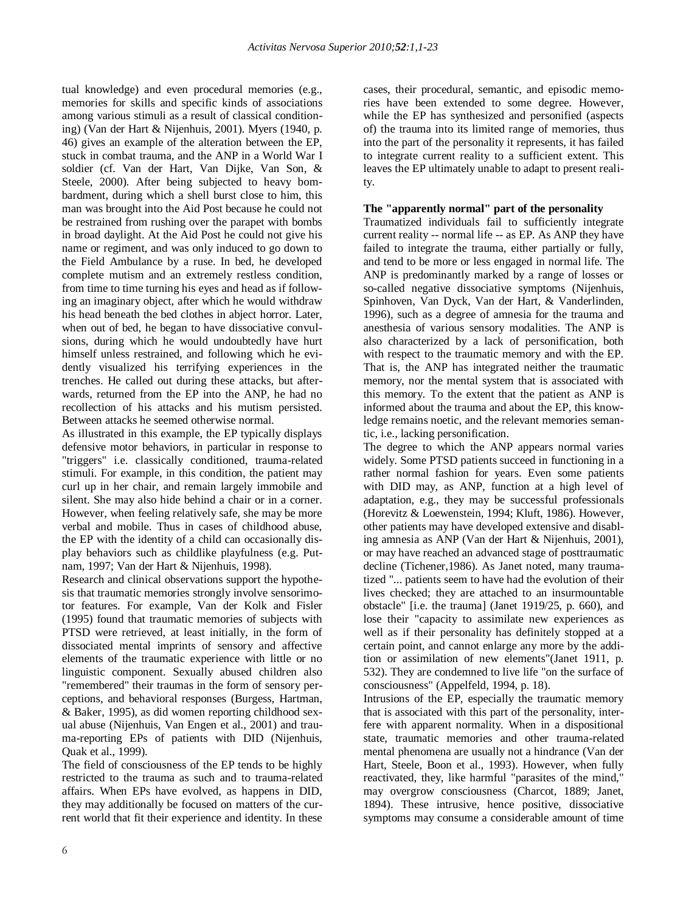tual knowledge) and even procedural memories (e.g., memories for skills and specific kinds of associations among various stimuli as a result of classical conditioning) (Van der Hart & Nijenhuis, 2001). Myers (1940, p. 46) gives an example of the alteration between the EP, stuck in combat trauma, and the ANP in a World War I soldier (cf. Van der Hart, Van Dijke, Van Son, & Steele, 2000). After being subjected to heavy bombardment, during which a shell burst close to him, this man was brought into the Aid Post because he could not be restrained from rushing over the parapet with bombs in broad daylight. At the Aid Post he could not give his name or regiment, and was only induced to go down to the Field Ambulance by a ruse. In bed, he developed complete mutism and an extremely restless condition, from time to time turning his eyes and head as if following an imaginary object, after which he would withdraw his head beneath the bed clothes in abject horror. Later, when out of bed, he began to have dissociative convulsions, during which he would undoubtedly have hurt himself unless restrained, and following which he evidently visualized his terrifying experiences in the trenches. He called out during these attacks, but afterwards, returned from the EP into the ANP, he had no recollection of his attacks and his mutism persisted. Between attacks he seemed otherwise normal.

As illustrated in this example, the EP typically displays defensive motor behaviors, in particular in response to "triggers" i.e. classically conditioned, trauma-related stimuli. For example, in this condition, the patient may curl up in her chair, and remain largely immobile and silent. She may also hide behind a chair or in a corner. However, when feeling relatively safe, she may be more verbal and mobile. Thus in cases of childhood abuse, the EP with the identity of a child can occasionally display behaviors such as childlike playfulness (e.g. Putnam, 1997; Van der Hart & Nijenhuis, 1998).

Research and clinical observations support the hypothesis that traumatic memories strongly involve sensorimotor features. For example, Van der Kolk and Fisler (1995) found that traumatic memories of subjects with PTSD were retrieved, at least initially, in the form of dissociated mental imprints of sensory and affective elements of the traumatic experience with little or no linguistic component. Sexually abused children also "remembered" their traumas in the form of sensory perceptions, and behavioral responses (Burgess, Hartman, & Baker, 1995), as did women reporting childhood sexual abuse (Nijenhuis, Van Engen et al., 2001) and trauma-reporting EPs of patients with DID (Nijenhuis, Quak et al., 1999).

The field of consciousness of the EP tends to be highly restricted to the trauma as such and to trauma-related affairs. When EPs have evolved, as happens in DID, they may additionally be focused on matters of the current world that fit their experience and identity. In these

cases, their procedural, semantic, and episodic memories have been extended to some degree. However, while the EP has synthesized and personified (aspects of) the trauma into its limited range of memories, thus into the part of the personality it represents, it has failed to integrate current reality to a sufficient extent. This leaves the EP ultimately unable to adapt to present reality.

### **The "apparently normal" part of the personality**

Traumatized individuals fail to sufficiently integrate current reality -- normal life -- as EP. As ANP they have failed to integrate the trauma, either partially or fully, and tend to be more or less engaged in normal life. The ANP is predominantly marked by a range of losses or so-called negative dissociative symptoms (Nijenhuis, Spinhoven, Van Dyck, Van der Hart, & Vanderlinden, 1996), such as a degree of amnesia for the trauma and anesthesia of various sensory modalities. The ANP is also characterized by a lack of personification, both with respect to the traumatic memory and with the EP. That is, the ANP has integrated neither the traumatic memory, nor the mental system that is associated with this memory. To the extent that the patient as ANP is informed about the trauma and about the EP, this knowledge remains noetic, and the relevant memories semantic, i.e., lacking personification.

The degree to which the ANP appears normal varies widely. Some PTSD patients succeed in functioning in a rather normal fashion for years. Even some patients with DID may, as ANP, function at a high level of adaptation, e.g., they may be successful professionals (Horevitz & Loewenstein, 1994; Kluft, 1986). However, other patients may have developed extensive and disabling amnesia as ANP (Van der Hart & Nijenhuis, 2001), or may have reached an advanced stage of posttraumatic decline (Tichener,1986). As Janet noted, many traumatized "... patients seem to have had the evolution of their lives checked; they are attached to an insurmountable obstacle" [i.e. the trauma] (Janet 1919/25, p. 660), and lose their "capacity to assimilate new experiences as well as if their personality has definitely stopped at a certain point, and cannot enlarge any more by the addition or assimilation of new elements"(Janet 1911, p. 532). They are condemned to live life "on the surface of consciousness" (Appelfeld, 1994, p. 18).

Intrusions of the EP, especially the traumatic memory that is associated with this part of the personality, interfere with apparent normality. When in a dispositional state, traumatic memories and other trauma-related mental phenomena are usually not a hindrance (Van der Hart, Steele, Boon et al., 1993). However, when fully reactivated, they, like harmful "parasites of the mind," may overgrow consciousness (Charcot, 1889; Janet, 1894). These intrusive, hence positive, dissociative symptoms may consume a considerable amount of time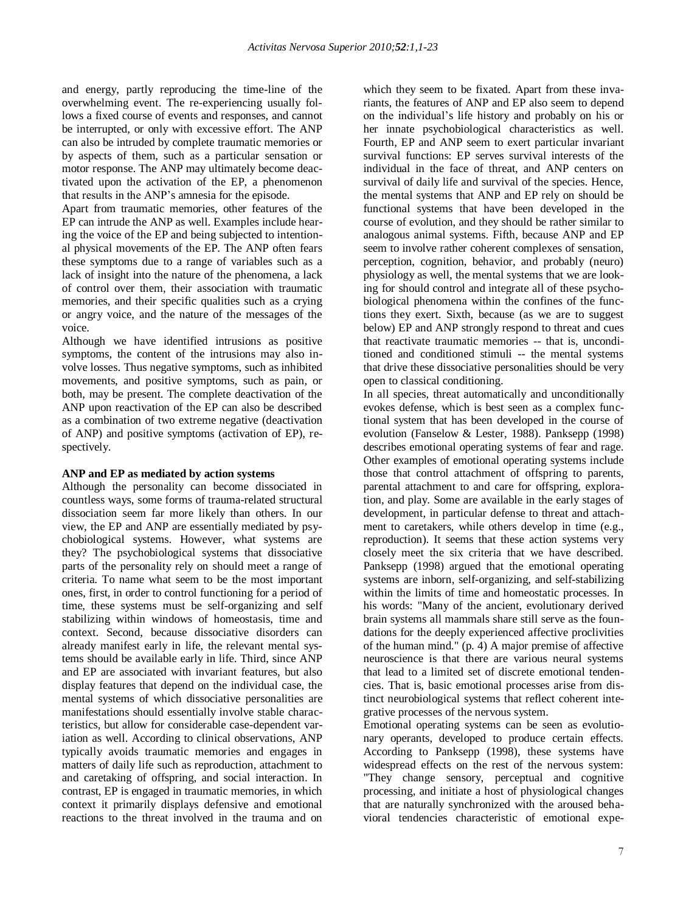and energy, partly reproducing the time-line of the overwhelming event. The re-experiencing usually follows a fixed course of events and responses, and cannot be interrupted, or only with excessive effort. The ANP can also be intruded by complete traumatic memories or by aspects of them, such as a particular sensation or motor response. The ANP may ultimately become deactivated upon the activation of the EP, a phenomenon that results in the ANP's amnesia for the episode.

Apart from traumatic memories, other features of the EP can intrude the ANP as well. Examples include hearing the voice of the EP and being subjected to intentional physical movements of the EP. The ANP often fears these symptoms due to a range of variables such as a lack of insight into the nature of the phenomena, a lack of control over them, their association with traumatic memories, and their specific qualities such as a crying or angry voice, and the nature of the messages of the voice.

Although we have identified intrusions as positive symptoms, the content of the intrusions may also involve losses. Thus negative symptoms, such as inhibited movements, and positive symptoms, such as pain, or both, may be present. The complete deactivation of the ANP upon reactivation of the EP can also be described as a combination of two extreme negative (deactivation of ANP) and positive symptoms (activation of EP), respectively.

# **ANP and EP as mediated by action systems**

Although the personality can become dissociated in countless ways, some forms of trauma-related structural dissociation seem far more likely than others. In our view, the EP and ANP are essentially mediated by psychobiological systems. However, what systems are they? The psychobiological systems that dissociative parts of the personality rely on should meet a range of criteria. To name what seem to be the most important ones, first, in order to control functioning for a period of time, these systems must be self-organizing and self stabilizing within windows of homeostasis, time and context. Second, because dissociative disorders can already manifest early in life, the relevant mental systems should be available early in life. Third, since ANP and EP are associated with invariant features, but also display features that depend on the individual case, the mental systems of which dissociative personalities are manifestations should essentially involve stable characteristics, but allow for considerable case-dependent variation as well. According to clinical observations, ANP typically avoids traumatic memories and engages in matters of daily life such as reproduction, attachment to and caretaking of offspring, and social interaction. In contrast, EP is engaged in traumatic memories, in which context it primarily displays defensive and emotional reactions to the threat involved in the trauma and on

which they seem to be fixated. Apart from these invariants, the features of ANP and EP also seem to depend on the individual's life history and probably on his or her innate psychobiological characteristics as well. Fourth, EP and ANP seem to exert particular invariant survival functions: EP serves survival interests of the individual in the face of threat, and ANP centers on survival of daily life and survival of the species. Hence, the mental systems that ANP and EP rely on should be functional systems that have been developed in the course of evolution, and they should be rather similar to analogous animal systems. Fifth, because ANP and EP seem to involve rather coherent complexes of sensation, perception, cognition, behavior, and probably (neuro) physiology as well, the mental systems that we are looking for should control and integrate all of these psychobiological phenomena within the confines of the functions they exert. Sixth, because (as we are to suggest below) EP and ANP strongly respond to threat and cues that reactivate traumatic memories -- that is, unconditioned and conditioned stimuli -- the mental systems that drive these dissociative personalities should be very open to classical conditioning.

In all species, threat automatically and unconditionally evokes defense, which is best seen as a complex functional system that has been developed in the course of evolution (Fanselow & Lester, 1988). Panksepp (1998) describes emotional operating systems of fear and rage. Other examples of emotional operating systems include those that control attachment of offspring to parents, parental attachment to and care for offspring, exploration, and play. Some are available in the early stages of development, in particular defense to threat and attachment to caretakers, while others develop in time (e.g., reproduction). It seems that these action systems very closely meet the six criteria that we have described. Panksepp (1998) argued that the emotional operating systems are inborn, self-organizing, and self-stabilizing within the limits of time and homeostatic processes. In his words: "Many of the ancient, evolutionary derived brain systems all mammals share still serve as the foundations for the deeply experienced affective proclivities of the human mind." (p. 4) A major premise of affective neuroscience is that there are various neural systems that lead to a limited set of discrete emotional tendencies. That is, basic emotional processes arise from distinct neurobiological systems that reflect coherent integrative processes of the nervous system.

Emotional operating systems can be seen as evolutionary operants, developed to produce certain effects. According to Panksepp (1998), these systems have widespread effects on the rest of the nervous system: "They change sensory, perceptual and cognitive processing, and initiate a host of physiological changes that are naturally synchronized with the aroused behavioral tendencies characteristic of emotional expe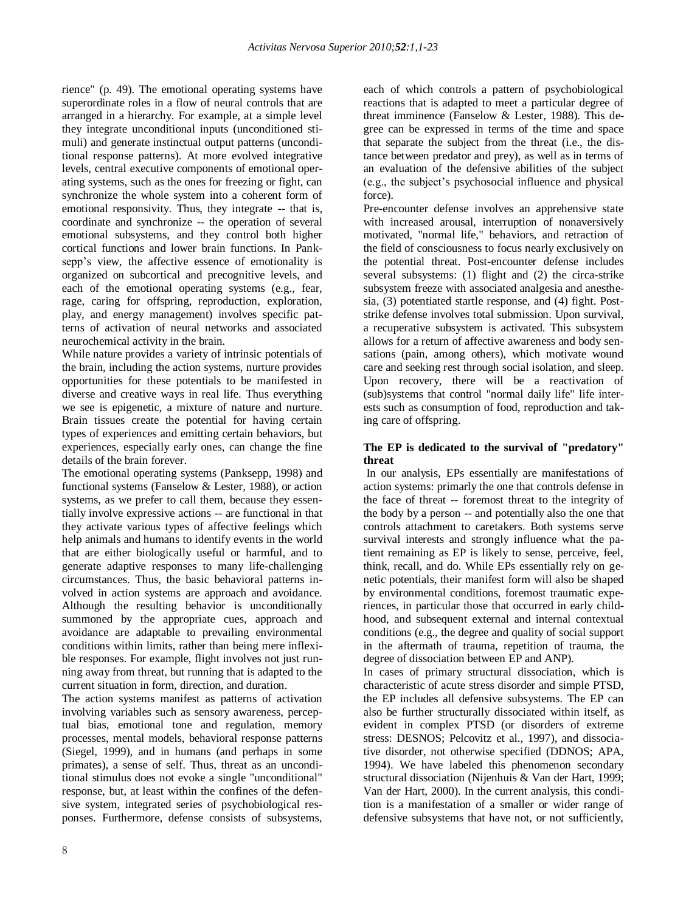rience" (p. 49). The emotional operating systems have superordinate roles in a flow of neural controls that are arranged in a hierarchy. For example, at a simple level they integrate unconditional inputs (unconditioned stimuli) and generate instinctual output patterns (unconditional response patterns). At more evolved integrative levels, central executive components of emotional operating systems, such as the ones for freezing or fight, can synchronize the whole system into a coherent form of emotional responsivity. Thus, they integrate -- that is, coordinate and synchronize -- the operation of several emotional subsystems, and they control both higher cortical functions and lower brain functions. In Panksepp's view, the affective essence of emotionality is organized on subcortical and precognitive levels, and each of the emotional operating systems (e.g., fear, rage, caring for offspring, reproduction, exploration, play, and energy management) involves specific patterns of activation of neural networks and associated neurochemical activity in the brain.

While nature provides a variety of intrinsic potentials of the brain, including the action systems, nurture provides opportunities for these potentials to be manifested in diverse and creative ways in real life. Thus everything we see is epigenetic, a mixture of nature and nurture. Brain tissues create the potential for having certain types of experiences and emitting certain behaviors, but experiences, especially early ones, can change the fine details of the brain forever.

The emotional operating systems (Panksepp, 1998) and functional systems (Fanselow & Lester, 1988), or action systems, as we prefer to call them, because they essentially involve expressive actions -- are functional in that they activate various types of affective feelings which help animals and humans to identify events in the world that are either biologically useful or harmful, and to generate adaptive responses to many life-challenging circumstances. Thus, the basic behavioral patterns involved in action systems are approach and avoidance. Although the resulting behavior is unconditionally summoned by the appropriate cues, approach and avoidance are adaptable to prevailing environmental conditions within limits, rather than being mere inflexible responses. For example, flight involves not just running away from threat, but running that is adapted to the current situation in form, direction, and duration.

The action systems manifest as patterns of activation involving variables such as sensory awareness, perceptual bias, emotional tone and regulation, memory processes, mental models, behavioral response patterns (Siegel, 1999), and in humans (and perhaps in some primates), a sense of self. Thus, threat as an unconditional stimulus does not evoke a single "unconditional" response, but, at least within the confines of the defensive system, integrated series of psychobiological responses. Furthermore, defense consists of subsystems,

each of which controls a pattern of psychobiological reactions that is adapted to meet a particular degree of threat imminence (Fanselow & Lester, 1988). This degree can be expressed in terms of the time and space that separate the subject from the threat (i.e., the distance between predator and prey), as well as in terms of an evaluation of the defensive abilities of the subject (e.g., the subject's psychosocial influence and physical force).

Pre-encounter defense involves an apprehensive state with increased arousal, interruption of nonaversively motivated, "normal life," behaviors, and retraction of the field of consciousness to focus nearly exclusively on the potential threat. Post-encounter defense includes several subsystems: (1) flight and (2) the circa-strike subsystem freeze with associated analgesia and anesthesia, (3) potentiated startle response, and (4) fight. Poststrike defense involves total submission. Upon survival, a recuperative subsystem is activated. This subsystem allows for a return of affective awareness and body sensations (pain, among others), which motivate wound care and seeking rest through social isolation, and sleep. Upon recovery, there will be a reactivation of (sub)systems that control "normal daily life" life interests such as consumption of food, reproduction and taking care of offspring.

# **The EP is dedicated to the survival of "predatory" threat**

In our analysis, EPs essentially are manifestations of action systems: primarly the one that controls defense in the face of threat -- foremost threat to the integrity of the body by a person -- and potentially also the one that controls attachment to caretakers. Both systems serve survival interests and strongly influence what the patient remaining as EP is likely to sense, perceive, feel, think, recall, and do. While EPs essentially rely on genetic potentials, their manifest form will also be shaped by environmental conditions, foremost traumatic experiences, in particular those that occurred in early childhood, and subsequent external and internal contextual conditions (e.g., the degree and quality of social support in the aftermath of trauma, repetition of trauma, the degree of dissociation between EP and ANP).

In cases of primary structural dissociation, which is characteristic of acute stress disorder and simple PTSD, the EP includes all defensive subsystems. The EP can also be further structurally dissociated within itself, as evident in complex PTSD (or disorders of extreme stress: DESNOS; Pelcovitz et al., 1997), and dissociative disorder, not otherwise specified (DDNOS; APA, 1994). We have labeled this phenomenon secondary structural dissociation (Nijenhuis & Van der Hart, 1999; Van der Hart, 2000). In the current analysis, this condition is a manifestation of a smaller or wider range of defensive subsystems that have not, or not sufficiently,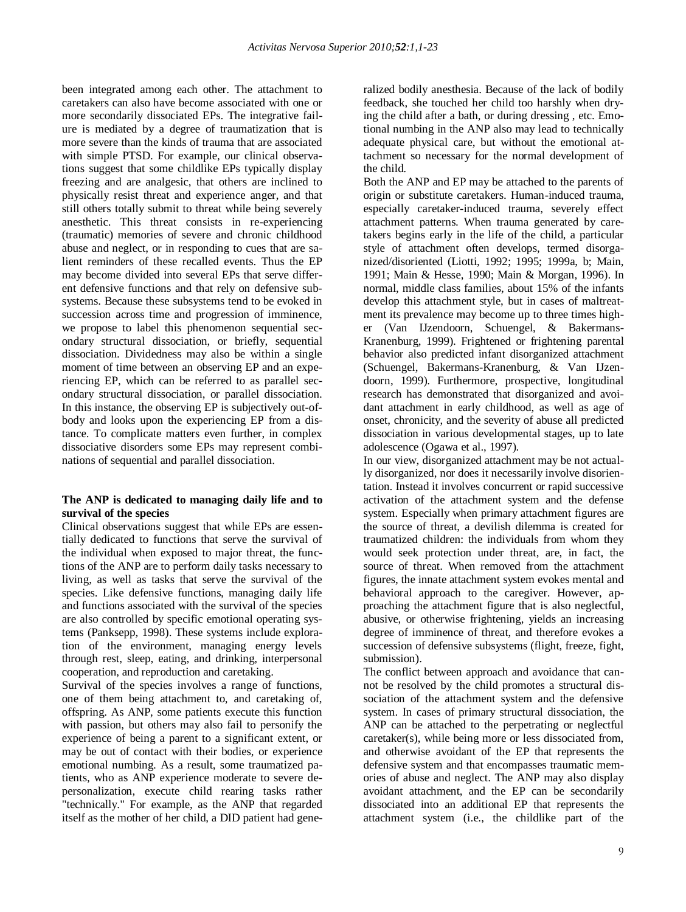been integrated among each other. The attachment to caretakers can also have become associated with one or more secondarily dissociated EPs. The integrative failure is mediated by a degree of traumatization that is more severe than the kinds of trauma that are associated with simple PTSD. For example, our clinical observations suggest that some childlike EPs typically display freezing and are analgesic, that others are inclined to physically resist threat and experience anger, and that still others totally submit to threat while being severely anesthetic. This threat consists in re-experiencing (traumatic) memories of severe and chronic childhood abuse and neglect, or in responding to cues that are salient reminders of these recalled events. Thus the EP may become divided into several EPs that serve different defensive functions and that rely on defensive subsystems. Because these subsystems tend to be evoked in succession across time and progression of imminence, we propose to label this phenomenon sequential secondary structural dissociation, or briefly, sequential dissociation. Dividedness may also be within a single moment of time between an observing EP and an experiencing EP, which can be referred to as parallel secondary structural dissociation, or parallel dissociation. In this instance, the observing EP is subjectively out-ofbody and looks upon the experiencing EP from a distance. To complicate matters even further, in complex dissociative disorders some EPs may represent combinations of sequential and parallel dissociation.

# **The ANP is dedicated to managing daily life and to survival of the species**

Clinical observations suggest that while EPs are essentially dedicated to functions that serve the survival of the individual when exposed to major threat, the functions of the ANP are to perform daily tasks necessary to living, as well as tasks that serve the survival of the species. Like defensive functions, managing daily life and functions associated with the survival of the species are also controlled by specific emotional operating systems (Panksepp, 1998). These systems include exploration of the environment, managing energy levels through rest, sleep, eating, and drinking, interpersonal cooperation, and reproduction and caretaking.

Survival of the species involves a range of functions, one of them being attachment to, and caretaking of, offspring. As ANP, some patients execute this function with passion, but others may also fail to personify the experience of being a parent to a significant extent, or may be out of contact with their bodies, or experience emotional numbing. As a result, some traumatized patients, who as ANP experience moderate to severe depersonalization, execute child rearing tasks rather "technically." For example, as the ANP that regarded itself as the mother of her child, a DID patient had generalized bodily anesthesia. Because of the lack of bodily feedback, she touched her child too harshly when drying the child after a bath, or during dressing , etc. Emotional numbing in the ANP also may lead to technically adequate physical care, but without the emotional attachment so necessary for the normal development of the child.

Both the ANP and EP may be attached to the parents of origin or substitute caretakers. Human-induced trauma, especially caretaker-induced trauma, severely effect attachment patterns. When trauma generated by caretakers begins early in the life of the child, a particular style of attachment often develops, termed disorganized/disoriented (Liotti, 1992; 1995; 1999a, b; Main, 1991; Main & Hesse, 1990; Main & Morgan, 1996). In normal, middle class families, about 15% of the infants develop this attachment style, but in cases of maltreatment its prevalence may become up to three times higher (Van IJzendoorn, Schuengel, & Bakermans-Kranenburg, 1999). Frightened or frightening parental behavior also predicted infant disorganized attachment (Schuengel, Bakermans-Kranenburg, & Van IJzendoorn, 1999). Furthermore, prospective, longitudinal research has demonstrated that disorganized and avoidant attachment in early childhood, as well as age of onset, chronicity, and the severity of abuse all predicted dissociation in various developmental stages, up to late adolescence (Ogawa et al., 1997).

In our view, disorganized attachment may be not actually disorganized, nor does it necessarily involve disorientation. Instead it involves concurrent or rapid successive activation of the attachment system and the defense system. Especially when primary attachment figures are the source of threat, a devilish dilemma is created for traumatized children: the individuals from whom they would seek protection under threat, are, in fact, the source of threat. When removed from the attachment figures, the innate attachment system evokes mental and behavioral approach to the caregiver. However, approaching the attachment figure that is also neglectful, abusive, or otherwise frightening, yields an increasing degree of imminence of threat, and therefore evokes a succession of defensive subsystems (flight, freeze, fight, submission).

The conflict between approach and avoidance that cannot be resolved by the child promotes a structural dissociation of the attachment system and the defensive system. In cases of primary structural dissociation, the ANP can be attached to the perpetrating or neglectful caretaker(s), while being more or less dissociated from, and otherwise avoidant of the EP that represents the defensive system and that encompasses traumatic memories of abuse and neglect. The ANP may also display avoidant attachment, and the EP can be secondarily dissociated into an additional EP that represents the attachment system (i.e., the childlike part of the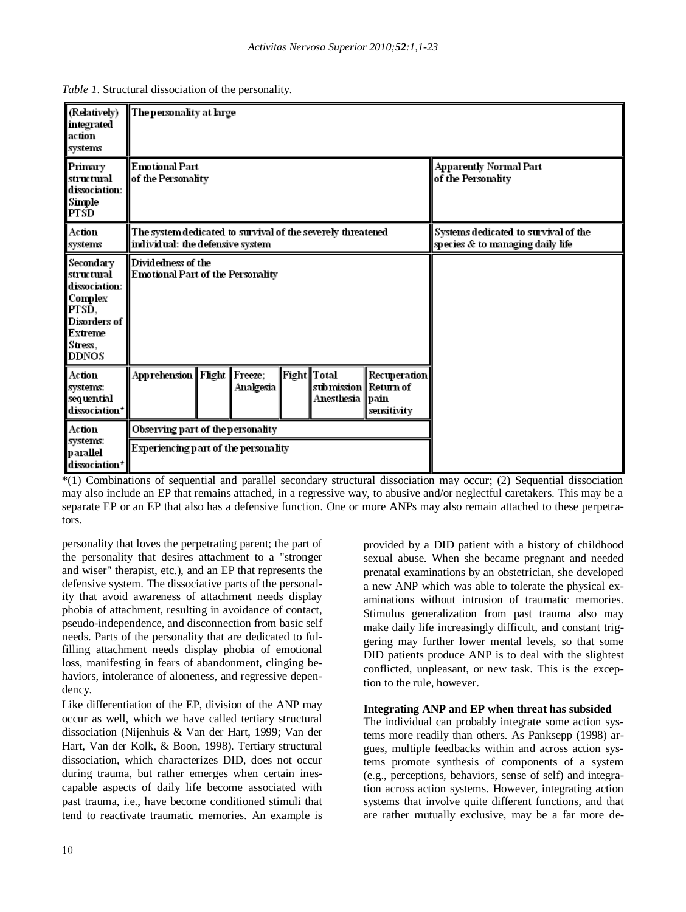| Table 1. Structural dissociation of the personality. |  |
|------------------------------------------------------|--|
|------------------------------------------------------|--|

| (Relatively)<br>integrated<br>action<br>systems                                                                           | The personality at large                                                                        |  |                      |                                                                          |                                                           |                             |                                                     |
|---------------------------------------------------------------------------------------------------------------------------|-------------------------------------------------------------------------------------------------|--|----------------------|--------------------------------------------------------------------------|-----------------------------------------------------------|-----------------------------|-----------------------------------------------------|
| Primary<br>structural<br>dissociation:<br>Simple<br><b>PTSD</b>                                                           | <b>Emotional Part</b><br>of the Personality                                                     |  |                      |                                                                          |                                                           |                             | <b>Apparently Normal Part</b><br>of the Personality |
| Action<br>systems                                                                                                         | The system dedicated to survival of the severely threatened<br>individual: the defensive system |  |                      | Systems dedicated to survival of the<br>species & to managing daily life |                                                           |                             |                                                     |
| Secondary<br>structural<br>dissociation:<br>Complex<br>PTSD,<br>Disorders of<br><b>Extreme</b><br>Stress.<br><b>DDNOS</b> | Dividedness of the<br><b>Emotional Part of the Personality</b>                                  |  |                      |                                                                          |                                                           |                             |                                                     |
| Action<br>systems:<br>sequential<br>dissociation*                                                                         | App rehension    Flight                                                                         |  | Freeze;<br>Analgesia |                                                                          | Fight Total<br>sub mission Return of<br>Anesthesia ∥pain- | Recuperation<br>sensitivity |                                                     |
| Action                                                                                                                    | Observing part of the personality                                                               |  |                      |                                                                          |                                                           |                             |                                                     |
| systems:<br>parallel<br>dissociation*                                                                                     | Experiencing part of the personality                                                            |  |                      |                                                                          |                                                           |                             |                                                     |

\*(1) Combinations of sequential and parallel secondary structural dissociation may occur; (2) Sequential dissociation may also include an EP that remains attached, in a regressive way, to abusive and/or neglectful caretakers. This may be a separate EP or an EP that also has a defensive function. One or more ANPs may also remain attached to these perpetrators.

personality that loves the perpetrating parent; the part of the personality that desires attachment to a "stronger and wiser" therapist, etc.), and an EP that represents the defensive system. The dissociative parts of the personality that avoid awareness of attachment needs display phobia of attachment, resulting in avoidance of contact, pseudo-independence, and disconnection from basic self needs. Parts of the personality that are dedicated to fulfilling attachment needs display phobia of emotional loss, manifesting in fears of abandonment, clinging behaviors, intolerance of aloneness, and regressive dependency.

Like differentiation of the EP, division of the ANP may occur as well, which we have called tertiary structural dissociation (Nijenhuis & Van der Hart, 1999; Van der Hart, Van der Kolk, & Boon, 1998). Tertiary structural dissociation, which characterizes DID, does not occur during trauma, but rather emerges when certain inescapable aspects of daily life become associated with past trauma, i.e., have become conditioned stimuli that tend to reactivate traumatic memories. An example is provided by a DID patient with a history of childhood sexual abuse. When she became pregnant and needed prenatal examinations by an obstetrician, she developed a new ANP which was able to tolerate the physical examinations without intrusion of traumatic memories. Stimulus generalization from past trauma also may make daily life increasingly difficult, and constant triggering may further lower mental levels, so that some DID patients produce ANP is to deal with the slightest conflicted, unpleasant, or new task. This is the exception to the rule, however.

# **Integrating ANP and EP when threat has subsided**

The individual can probably integrate some action systems more readily than others. As Panksepp (1998) argues, multiple feedbacks within and across action systems promote synthesis of components of a system (e.g., perceptions, behaviors, sense of self) and integration across action systems. However, integrating action systems that involve quite different functions, and that are rather mutually exclusive, may be a far more de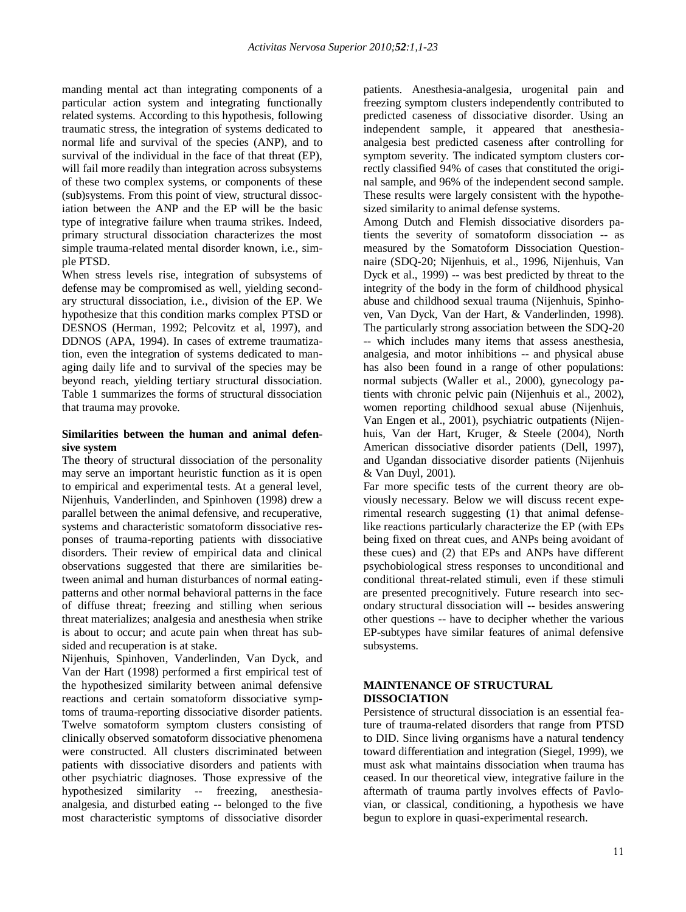manding mental act than integrating components of a particular action system and integrating functionally related systems. According to this hypothesis, following traumatic stress, the integration of systems dedicated to normal life and survival of the species (ANP), and to survival of the individual in the face of that threat (EP), will fail more readily than integration across subsystems of these two complex systems, or components of these (sub)systems. From this point of view, structural dissociation between the ANP and the EP will be the basic type of integrative failure when trauma strikes. Indeed, primary structural dissociation characterizes the most simple trauma-related mental disorder known, i.e., simple PTSD.

When stress levels rise, integration of subsystems of defense may be compromised as well, yielding secondary structural dissociation, i.e., division of the EP. We hypothesize that this condition marks complex PTSD or DESNOS (Herman, 1992; Pelcovitz et al, 1997), and DDNOS (APA, 1994). In cases of extreme traumatization, even the integration of systems dedicated to managing daily life and to survival of the species may be beyond reach, yielding tertiary structural dissociation. Table 1 summarizes the forms of structural dissociation that trauma may provoke.

### **Similarities between the human and animal defensive system**

The theory of structural dissociation of the personality may serve an important heuristic function as it is open to empirical and experimental tests. At a general level, Nijenhuis, Vanderlinden, and Spinhoven (1998) drew a parallel between the animal defensive, and recuperative, systems and characteristic somatoform dissociative responses of trauma-reporting patients with dissociative disorders. Their review of empirical data and clinical observations suggested that there are similarities between animal and human disturbances of normal eatingpatterns and other normal behavioral patterns in the face of diffuse threat; freezing and stilling when serious threat materializes; analgesia and anesthesia when strike is about to occur; and acute pain when threat has subsided and recuperation is at stake.

Nijenhuis, Spinhoven, Vanderlinden, Van Dyck, and Van der Hart (1998) performed a first empirical test of the hypothesized similarity between animal defensive reactions and certain somatoform dissociative symptoms of trauma-reporting dissociative disorder patients. Twelve somatoform symptom clusters consisting of clinically observed somatoform dissociative phenomena were constructed. All clusters discriminated between patients with dissociative disorders and patients with other psychiatric diagnoses. Those expressive of the hypothesized similarity -- freezing, anesthesiaanalgesia, and disturbed eating -- belonged to the five most characteristic symptoms of dissociative disorder patients. Anesthesia-analgesia, urogenital pain and freezing symptom clusters independently contributed to predicted caseness of dissociative disorder. Using an independent sample, it appeared that anesthesiaanalgesia best predicted caseness after controlling for symptom severity. The indicated symptom clusters correctly classified 94% of cases that constituted the original sample, and 96% of the independent second sample. These results were largely consistent with the hypothesized similarity to animal defense systems.

Among Dutch and Flemish dissociative disorders patients the severity of somatoform dissociation -- as measured by the Somatoform Dissociation Questionnaire (SDQ-20; Nijenhuis, et al., 1996, Nijenhuis, Van Dyck et al., 1999) -- was best predicted by threat to the integrity of the body in the form of childhood physical abuse and childhood sexual trauma (Nijenhuis, Spinhoven, Van Dyck, Van der Hart, & Vanderlinden, 1998). The particularly strong association between the SDQ-20 -- which includes many items that assess anesthesia, analgesia, and motor inhibitions -- and physical abuse has also been found in a range of other populations: normal subjects (Waller et al., 2000), gynecology patients with chronic pelvic pain (Nijenhuis et al., 2002), women reporting childhood sexual abuse (Nijenhuis, Van Engen et al., 2001), psychiatric outpatients (Nijenhuis, Van der Hart, Kruger, & Steele (2004), North American dissociative disorder patients (Dell, 1997), and Ugandan dissociative disorder patients (Nijenhuis & Van Duyl, 2001).

Far more specific tests of the current theory are obviously necessary. Below we will discuss recent experimental research suggesting (1) that animal defenselike reactions particularly characterize the EP (with EPs being fixed on threat cues, and ANPs being avoidant of these cues) and (2) that EPs and ANPs have different psychobiological stress responses to unconditional and conditional threat-related stimuli, even if these stimuli are presented precognitively. Future research into secondary structural dissociation will -- besides answering other questions -- have to decipher whether the various EP-subtypes have similar features of animal defensive subsystems.

# **MAINTENANCE OF STRUCTURAL DISSOCIATION**

Persistence of structural dissociation is an essential feature of trauma-related disorders that range from PTSD to DID. Since living organisms have a natural tendency toward differentiation and integration (Siegel, 1999), we must ask what maintains dissociation when trauma has ceased. In our theoretical view, integrative failure in the aftermath of trauma partly involves effects of Pavlovian, or classical, conditioning, a hypothesis we have begun to explore in quasi-experimental research.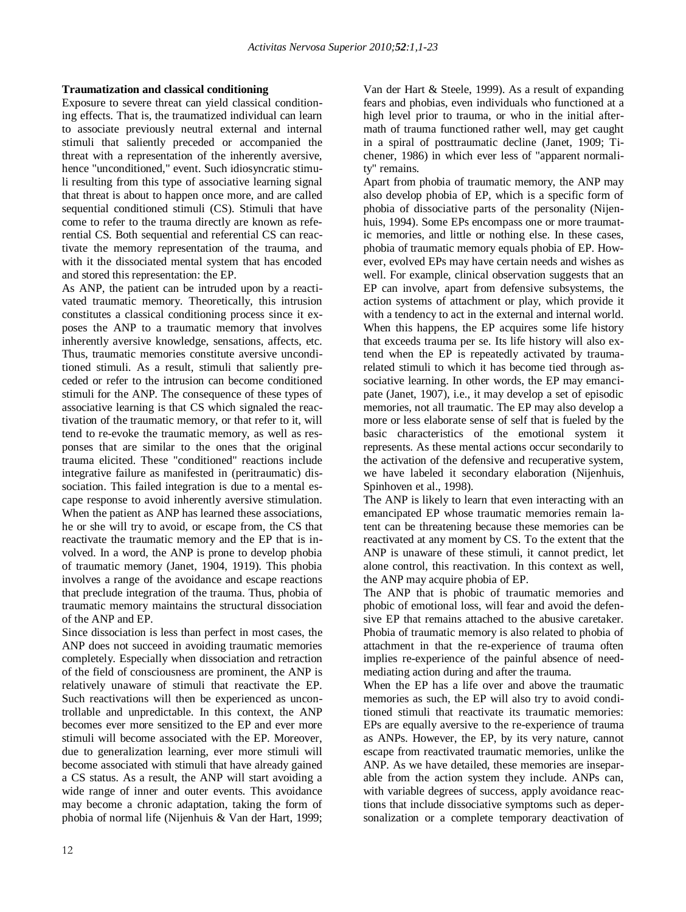# **Traumatization and classical conditioning**

Exposure to severe threat can yield classical conditioning effects. That is, the traumatized individual can learn to associate previously neutral external and internal stimuli that saliently preceded or accompanied the threat with a representation of the inherently aversive, hence "unconditioned," event. Such idiosyncratic stimuli resulting from this type of associative learning signal that threat is about to happen once more, and are called sequential conditioned stimuli (CS). Stimuli that have come to refer to the trauma directly are known as referential CS. Both sequential and referential CS can reactivate the memory representation of the trauma, and with it the dissociated mental system that has encoded and stored this representation: the EP.

As ANP, the patient can be intruded upon by a reactivated traumatic memory. Theoretically, this intrusion constitutes a classical conditioning process since it exposes the ANP to a traumatic memory that involves inherently aversive knowledge, sensations, affects, etc. Thus, traumatic memories constitute aversive unconditioned stimuli. As a result, stimuli that saliently preceded or refer to the intrusion can become conditioned stimuli for the ANP. The consequence of these types of associative learning is that CS which signaled the reactivation of the traumatic memory, or that refer to it, will tend to re-evoke the traumatic memory, as well as responses that are similar to the ones that the original trauma elicited. These "conditioned" reactions include integrative failure as manifested in (peritraumatic) dissociation. This failed integration is due to a mental escape response to avoid inherently aversive stimulation. When the patient as ANP has learned these associations, he or she will try to avoid, or escape from, the CS that reactivate the traumatic memory and the EP that is involved. In a word, the ANP is prone to develop phobia of traumatic memory (Janet, 1904, 1919). This phobia involves a range of the avoidance and escape reactions that preclude integration of the trauma. Thus, phobia of traumatic memory maintains the structural dissociation of the ANP and EP.

Since dissociation is less than perfect in most cases, the ANP does not succeed in avoiding traumatic memories completely. Especially when dissociation and retraction of the field of consciousness are prominent, the ANP is relatively unaware of stimuli that reactivate the EP. Such reactivations will then be experienced as uncontrollable and unpredictable. In this context, the ANP becomes ever more sensitized to the EP and ever more stimuli will become associated with the EP. Moreover, due to generalization learning, ever more stimuli will become associated with stimuli that have already gained a CS status. As a result, the ANP will start avoiding a wide range of inner and outer events. This avoidance may become a chronic adaptation, taking the form of phobia of normal life (Nijenhuis & Van der Hart, 1999;

Van der Hart & Steele, 1999). As a result of expanding fears and phobias, even individuals who functioned at a high level prior to trauma, or who in the initial aftermath of trauma functioned rather well, may get caught in a spiral of posttraumatic decline (Janet, 1909; Tichener, 1986) in which ever less of "apparent normality" remains.

Apart from phobia of traumatic memory, the ANP may also develop phobia of EP, which is a specific form of phobia of dissociative parts of the personality (Nijenhuis, 1994). Some EPs encompass one or more traumatic memories, and little or nothing else. In these cases, phobia of traumatic memory equals phobia of EP. However, evolved EPs may have certain needs and wishes as well. For example, clinical observation suggests that an EP can involve, apart from defensive subsystems, the action systems of attachment or play, which provide it with a tendency to act in the external and internal world. When this happens, the EP acquires some life history that exceeds trauma per se. Its life history will also extend when the EP is repeatedly activated by traumarelated stimuli to which it has become tied through associative learning. In other words, the EP may emancipate (Janet, 1907), i.e., it may develop a set of episodic memories, not all traumatic. The EP may also develop a more or less elaborate sense of self that is fueled by the basic characteristics of the emotional system it represents. As these mental actions occur secondarily to the activation of the defensive and recuperative system, we have labeled it secondary elaboration (Nijenhuis, Spinhoven et al., 1998).

The ANP is likely to learn that even interacting with an emancipated EP whose traumatic memories remain latent can be threatening because these memories can be reactivated at any moment by CS. To the extent that the ANP is unaware of these stimuli, it cannot predict, let alone control, this reactivation. In this context as well, the ANP may acquire phobia of EP.

The ANP that is phobic of traumatic memories and phobic of emotional loss, will fear and avoid the defensive EP that remains attached to the abusive caretaker. Phobia of traumatic memory is also related to phobia of attachment in that the re-experience of trauma often implies re-experience of the painful absence of needmediating action during and after the trauma.

When the EP has a life over and above the traumatic memories as such, the EP will also try to avoid conditioned stimuli that reactivate its traumatic memories: EPs are equally aversive to the re-experience of trauma as ANPs. However, the EP, by its very nature, cannot escape from reactivated traumatic memories, unlike the ANP. As we have detailed, these memories are inseparable from the action system they include. ANPs can, with variable degrees of success, apply avoidance reactions that include dissociative symptoms such as depersonalization or a complete temporary deactivation of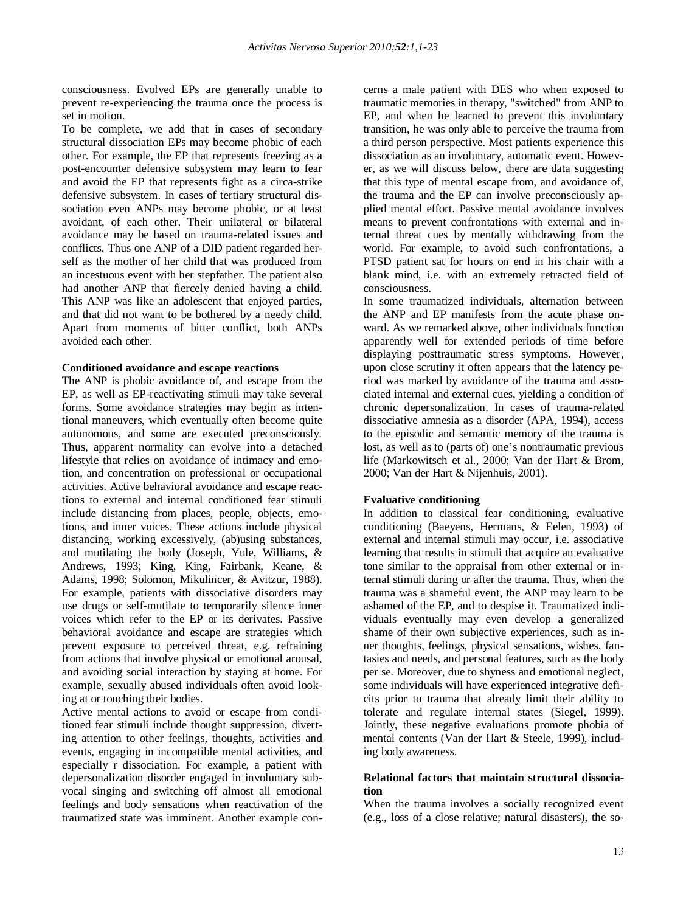consciousness. Evolved EPs are generally unable to prevent re-experiencing the trauma once the process is set in motion.

To be complete, we add that in cases of secondary structural dissociation EPs may become phobic of each other. For example, the EP that represents freezing as a post-encounter defensive subsystem may learn to fear and avoid the EP that represents fight as a circa-strike defensive subsystem. In cases of tertiary structural dissociation even ANPs may become phobic, or at least avoidant, of each other. Their unilateral or bilateral avoidance may be based on trauma-related issues and conflicts. Thus one ANP of a DID patient regarded herself as the mother of her child that was produced from an incestuous event with her stepfather. The patient also had another ANP that fiercely denied having a child. This ANP was like an adolescent that enjoyed parties, and that did not want to be bothered by a needy child. Apart from moments of bitter conflict, both ANPs avoided each other.

# **Conditioned avoidance and escape reactions**

The ANP is phobic avoidance of, and escape from the EP, as well as EP-reactivating stimuli may take several forms. Some avoidance strategies may begin as intentional maneuvers, which eventually often become quite autonomous, and some are executed preconsciously. Thus, apparent normality can evolve into a detached lifestyle that relies on avoidance of intimacy and emotion, and concentration on professional or occupational activities. Active behavioral avoidance and escape reactions to external and internal conditioned fear stimuli include distancing from places, people, objects, emotions, and inner voices. These actions include physical distancing, working excessively, (ab)using substances, and mutilating the body (Joseph, Yule, Williams, & Andrews, 1993; King, King, Fairbank, Keane, & Adams, 1998; Solomon, Mikulincer, & Avitzur, 1988). For example, patients with dissociative disorders may use drugs or self-mutilate to temporarily silence inner voices which refer to the EP or its derivates. Passive behavioral avoidance and escape are strategies which prevent exposure to perceived threat, e.g. refraining from actions that involve physical or emotional arousal, and avoiding social interaction by staying at home. For example, sexually abused individuals often avoid looking at or touching their bodies.

Active mental actions to avoid or escape from conditioned fear stimuli include thought suppression, diverting attention to other feelings, thoughts, activities and events, engaging in incompatible mental activities, and especially r dissociation. For example, a patient with depersonalization disorder engaged in involuntary subvocal singing and switching off almost all emotional feelings and body sensations when reactivation of the traumatized state was imminent. Another example concerns a male patient with DES who when exposed to traumatic memories in therapy, "switched" from ANP to EP, and when he learned to prevent this involuntary transition, he was only able to perceive the trauma from a third person perspective. Most patients experience this dissociation as an involuntary, automatic event. However, as we will discuss below, there are data suggesting that this type of mental escape from, and avoidance of, the trauma and the EP can involve preconsciously applied mental effort. Passive mental avoidance involves means to prevent confrontations with external and internal threat cues by mentally withdrawing from the world. For example, to avoid such confrontations, a PTSD patient sat for hours on end in his chair with a blank mind, i.e. with an extremely retracted field of consciousness.

In some traumatized individuals, alternation between the ANP and EP manifests from the acute phase onward. As we remarked above, other individuals function apparently well for extended periods of time before displaying posttraumatic stress symptoms. However, upon close scrutiny it often appears that the latency period was marked by avoidance of the trauma and associated internal and external cues, yielding a condition of chronic depersonalization. In cases of trauma-related dissociative amnesia as a disorder (APA, 1994), access to the episodic and semantic memory of the trauma is lost, as well as to (parts of) one's nontraumatic previous life (Markowitsch et al., 2000; Van der Hart & Brom, 2000; Van der Hart & Nijenhuis, 2001).

# **Evaluative conditioning**

In addition to classical fear conditioning, evaluative conditioning (Baeyens, Hermans, & Eelen, 1993) of external and internal stimuli may occur, i.e. associative learning that results in stimuli that acquire an evaluative tone similar to the appraisal from other external or internal stimuli during or after the trauma. Thus, when the trauma was a shameful event, the ANP may learn to be ashamed of the EP, and to despise it. Traumatized individuals eventually may even develop a generalized shame of their own subjective experiences, such as inner thoughts, feelings, physical sensations, wishes, fantasies and needs, and personal features, such as the body per se. Moreover, due to shyness and emotional neglect, some individuals will have experienced integrative deficits prior to trauma that already limit their ability to tolerate and regulate internal states (Siegel, 1999). Jointly, these negative evaluations promote phobia of mental contents (Van der Hart & Steele, 1999), including body awareness.

#### **Relational factors that maintain structural dissociation**

When the trauma involves a socially recognized event (e.g., loss of a close relative; natural disasters), the so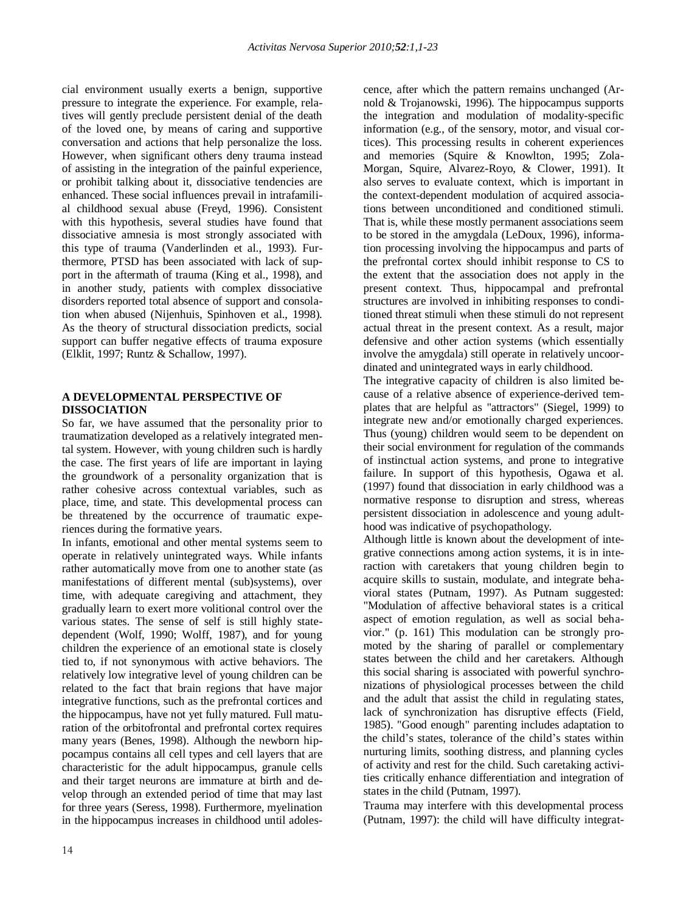cial environment usually exerts a benign, supportive pressure to integrate the experience. For example, relatives will gently preclude persistent denial of the death of the loved one, by means of caring and supportive conversation and actions that help personalize the loss. However, when significant others deny trauma instead of assisting in the integration of the painful experience, or prohibit talking about it, dissociative tendencies are enhanced. These social influences prevail in intrafamilial childhood sexual abuse (Freyd, 1996). Consistent with this hypothesis, several studies have found that dissociative amnesia is most strongly associated with this type of trauma (Vanderlinden et al., 1993). Furthermore, PTSD has been associated with lack of support in the aftermath of trauma (King et al., 1998), and in another study, patients with complex dissociative disorders reported total absence of support and consolation when abused (Nijenhuis, Spinhoven et al., 1998). As the theory of structural dissociation predicts, social support can buffer negative effects of trauma exposure (Elklit, 1997; Runtz & Schallow, 1997).

### **A DEVELOPMENTAL PERSPECTIVE OF DISSOCIATION**

So far, we have assumed that the personality prior to traumatization developed as a relatively integrated mental system. However, with young children such is hardly the case. The first years of life are important in laying the groundwork of a personality organization that is rather cohesive across contextual variables, such as place, time, and state. This developmental process can be threatened by the occurrence of traumatic experiences during the formative years.

In infants, emotional and other mental systems seem to operate in relatively unintegrated ways. While infants rather automatically move from one to another state (as manifestations of different mental (sub)systems), over time, with adequate caregiving and attachment, they gradually learn to exert more volitional control over the various states. The sense of self is still highly statedependent (Wolf, 1990; Wolff, 1987), and for young children the experience of an emotional state is closely tied to, if not synonymous with active behaviors. The relatively low integrative level of young children can be related to the fact that brain regions that have major integrative functions, such as the prefrontal cortices and the hippocampus, have not yet fully matured. Full maturation of the orbitofrontal and prefrontal cortex requires many years (Benes, 1998). Although the newborn hippocampus contains all cell types and cell layers that are characteristic for the adult hippocampus, granule cells and their target neurons are immature at birth and develop through an extended period of time that may last for three years (Seress, 1998). Furthermore, myelination in the hippocampus increases in childhood until adolescence, after which the pattern remains unchanged (Arnold & Trojanowski, 1996). The hippocampus supports the integration and modulation of modality-specific information (e.g., of the sensory, motor, and visual cortices). This processing results in coherent experiences and memories (Squire & Knowlton, 1995; Zola-Morgan, Squire, Alvarez-Royo, & Clower, 1991). It also serves to evaluate context, which is important in the context-dependent modulation of acquired associations between unconditioned and conditioned stimuli. That is, while these mostly permanent associations seem to be stored in the amygdala (LeDoux, 1996), information processing involving the hippocampus and parts of the prefrontal cortex should inhibit response to CS to the extent that the association does not apply in the present context. Thus, hippocampal and prefrontal structures are involved in inhibiting responses to conditioned threat stimuli when these stimuli do not represent actual threat in the present context. As a result, major defensive and other action systems (which essentially involve the amygdala) still operate in relatively uncoordinated and unintegrated ways in early childhood.

The integrative capacity of children is also limited because of a relative absence of experience-derived templates that are helpful as "attractors" (Siegel, 1999) to integrate new and/or emotionally charged experiences. Thus (young) children would seem to be dependent on their social environment for regulation of the commands of instinctual action systems, and prone to integrative failure. In support of this hypothesis, Ogawa et al. (1997) found that dissociation in early childhood was a normative response to disruption and stress, whereas persistent dissociation in adolescence and young adulthood was indicative of psychopathology.

Although little is known about the development of integrative connections among action systems, it is in interaction with caretakers that young children begin to acquire skills to sustain, modulate, and integrate behavioral states (Putnam, 1997). As Putnam suggested: "Modulation of affective behavioral states is a critical aspect of emotion regulation, as well as social behavior." (p. 161) This modulation can be strongly promoted by the sharing of parallel or complementary states between the child and her caretakers. Although this social sharing is associated with powerful synchronizations of physiological processes between the child and the adult that assist the child in regulating states, lack of synchronization has disruptive effects (Field, 1985). "Good enough" parenting includes adaptation to the child's states, tolerance of the child's states within nurturing limits, soothing distress, and planning cycles of activity and rest for the child. Such caretaking activities critically enhance differentiation and integration of states in the child (Putnam, 1997).

Trauma may interfere with this developmental process (Putnam, 1997): the child will have difficulty integrat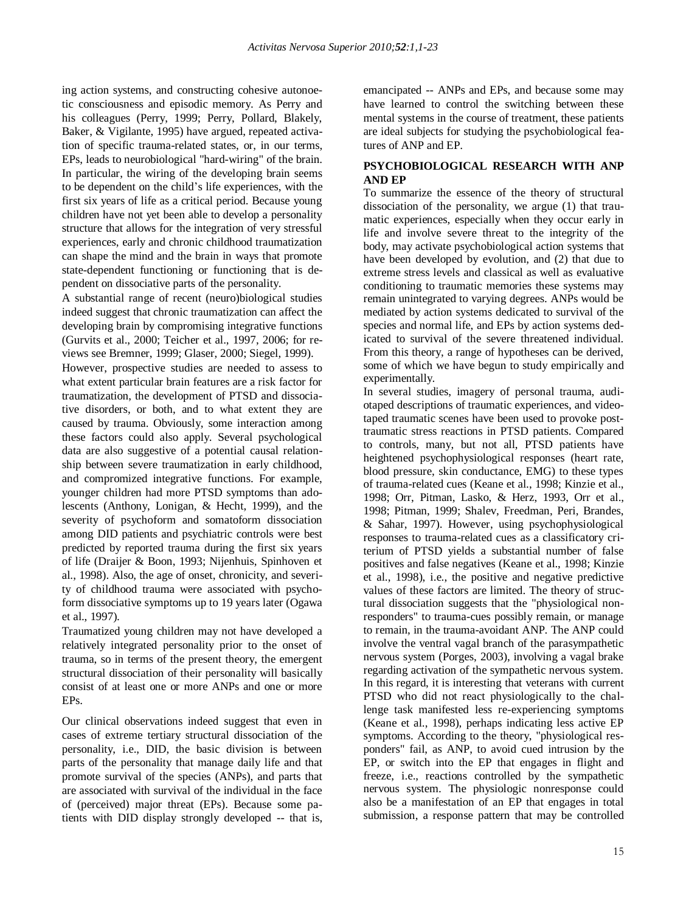ing action systems, and constructing cohesive autonoetic consciousness and episodic memory. As Perry and his colleagues (Perry, 1999; Perry, Pollard, Blakely, Baker, & Vigilante, 1995) have argued, repeated activation of specific trauma-related states, or, in our terms, EPs, leads to neurobiological "hard-wiring" of the brain. In particular, the wiring of the developing brain seems to be dependent on the child's life experiences, with the first six years of life as a critical period. Because young children have not yet been able to develop a personality structure that allows for the integration of very stressful experiences, early and chronic childhood traumatization can shape the mind and the brain in ways that promote state-dependent functioning or functioning that is dependent on dissociative parts of the personality.

A substantial range of recent (neuro)biological studies indeed suggest that chronic traumatization can affect the developing brain by compromising integrative functions (Gurvits et al., 2000; Teicher et al., 1997, 2006; for reviews see Bremner, 1999; Glaser, 2000; Siegel, 1999).

However, prospective studies are needed to assess to what extent particular brain features are a risk factor for traumatization, the development of PTSD and dissociative disorders, or both, and to what extent they are caused by trauma. Obviously, some interaction among these factors could also apply. Several psychological data are also suggestive of a potential causal relationship between severe traumatization in early childhood, and compromized integrative functions. For example, younger children had more PTSD symptoms than adolescents (Anthony, Lonigan, & Hecht, 1999), and the severity of psychoform and somatoform dissociation among DID patients and psychiatric controls were best predicted by reported trauma during the first six years of life (Draijer & Boon, 1993; Nijenhuis, Spinhoven et al., 1998). Also, the age of onset, chronicity, and severity of childhood trauma were associated with psychoform dissociative symptoms up to 19 years later (Ogawa et al., 1997).

Traumatized young children may not have developed a relatively integrated personality prior to the onset of trauma, so in terms of the present theory, the emergent structural dissociation of their personality will basically consist of at least one or more ANPs and one or more EPs.

Our clinical observations indeed suggest that even in cases of extreme tertiary structural dissociation of the personality, i.e., DID, the basic division is between parts of the personality that manage daily life and that promote survival of the species (ANPs), and parts that are associated with survival of the individual in the face of (perceived) major threat (EPs). Because some patients with DID display strongly developed -- that is, emancipated -- ANPs and EPs, and because some may have learned to control the switching between these mental systems in the course of treatment, these patients are ideal subjects for studying the psychobiological features of ANP and EP.

# **PSYCHOBIOLOGICAL RESEARCH WITH ANP AND EP**

To summarize the essence of the theory of structural dissociation of the personality, we argue (1) that traumatic experiences, especially when they occur early in life and involve severe threat to the integrity of the body, may activate psychobiological action systems that have been developed by evolution, and (2) that due to extreme stress levels and classical as well as evaluative conditioning to traumatic memories these systems may remain unintegrated to varying degrees. ANPs would be mediated by action systems dedicated to survival of the species and normal life, and EPs by action systems dedicated to survival of the severe threatened individual. From this theory, a range of hypotheses can be derived, some of which we have begun to study empirically and experimentally.

In several studies, imagery of personal trauma, audiotaped descriptions of traumatic experiences, and videotaped traumatic scenes have been used to provoke posttraumatic stress reactions in PTSD patients. Compared to controls, many, but not all, PTSD patients have heightened psychophysiological responses (heart rate, blood pressure, skin conductance, EMG) to these types of trauma-related cues (Keane et al., 1998; Kinzie et al., 1998; Orr, Pitman, Lasko, & Herz, 1993, Orr et al., 1998; Pitman, 1999; Shalev, Freedman, Peri, Brandes, & Sahar, 1997). However, using psychophysiological responses to trauma-related cues as a classificatory criterium of PTSD yields a substantial number of false positives and false negatives (Keane et al., 1998; Kinzie et al., 1998), i.e., the positive and negative predictive values of these factors are limited. The theory of structural dissociation suggests that the "physiological nonresponders" to trauma-cues possibly remain, or manage to remain, in the trauma-avoidant ANP. The ANP could involve the ventral vagal branch of the parasympathetic nervous system (Porges, 2003), involving a vagal brake regarding activation of the sympathetic nervous system. In this regard, it is interesting that veterans with current PTSD who did not react physiologically to the challenge task manifested less re-experiencing symptoms (Keane et al., 1998), perhaps indicating less active EP symptoms. According to the theory, "physiological responders" fail, as ANP, to avoid cued intrusion by the EP, or switch into the EP that engages in flight and freeze, i.e., reactions controlled by the sympathetic nervous system. The physiologic nonresponse could also be a manifestation of an EP that engages in total submission, a response pattern that may be controlled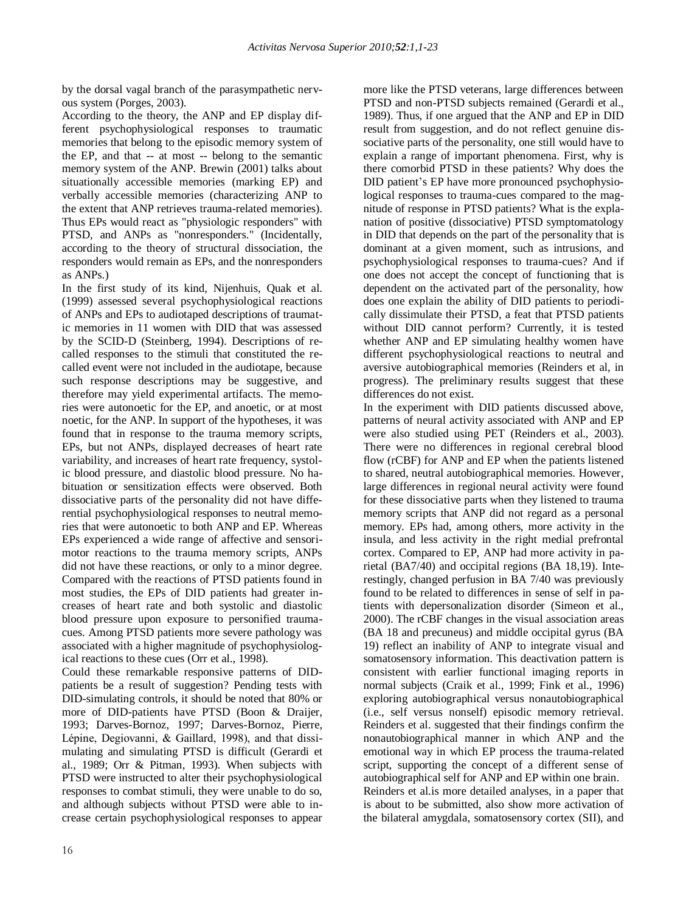by the dorsal vagal branch of the parasympathetic nervous system (Porges, 2003).

According to the theory, the ANP and EP display different psychophysiological responses to traumatic memories that belong to the episodic memory system of the EP, and that -- at most -- belong to the semantic memory system of the ANP. Brewin (2001) talks about situationally accessible memories (marking EP) and verbally accessible memories (characterizing ANP to the extent that ANP retrieves trauma-related memories). Thus EPs would react as "physiologic responders" with PTSD, and ANPs as "nonresponders." (Incidentally, according to the theory of structural dissociation, the responders would remain as EPs, and the nonresponders as ANPs.)

In the first study of its kind, Nijenhuis, Quak et al. (1999) assessed several psychophysiological reactions of ANPs and EPs to audiotaped descriptions of traumatic memories in 11 women with DID that was assessed by the SCID-D (Steinberg, 1994). Descriptions of recalled responses to the stimuli that constituted the recalled event were not included in the audiotape, because such response descriptions may be suggestive, and therefore may yield experimental artifacts. The memories were autonoetic for the EP, and anoetic, or at most noetic, for the ANP. In support of the hypotheses, it was found that in response to the trauma memory scripts, EPs, but not ANPs, displayed decreases of heart rate variability, and increases of heart rate frequency, systolic blood pressure, and diastolic blood pressure. No habituation or sensitization effects were observed. Both dissociative parts of the personality did not have differential psychophysiological responses to neutral memories that were autonoetic to both ANP and EP. Whereas EPs experienced a wide range of affective and sensorimotor reactions to the trauma memory scripts, ANPs did not have these reactions, or only to a minor degree. Compared with the reactions of PTSD patients found in most studies, the EPs of DID patients had greater increases of heart rate and both systolic and diastolic blood pressure upon exposure to personified traumacues. Among PTSD patients more severe pathology was associated with a higher magnitude of psychophysiological reactions to these cues (Orr et al., 1998).

Could these remarkable responsive patterns of DIDpatients be a result of suggestion? Pending tests with DID-simulating controls, it should be noted that 80% or more of DID-patients have PTSD (Boon & Draijer, 1993; Darves-Bornoz, 1997; Darves-Bornoz, Pierre, Lépine, Degiovanni, & Gaillard, 1998), and that dissimulating and simulating PTSD is difficult (Gerardi et al., 1989; Orr & Pitman, 1993). When subjects with PTSD were instructed to alter their psychophysiological responses to combat stimuli, they were unable to do so, and although subjects without PTSD were able to increase certain psychophysiological responses to appear

more like the PTSD veterans, large differences between PTSD and non-PTSD subjects remained (Gerardi et al., 1989). Thus, if one argued that the ANP and EP in DID result from suggestion, and do not reflect genuine dissociative parts of the personality, one still would have to explain a range of important phenomena. First, why is there comorbid PTSD in these patients? Why does the DID patient's EP have more pronounced psychophysiological responses to trauma-cues compared to the magnitude of response in PTSD patients? What is the explanation of positive (dissociative) PTSD symptomatology in DID that depends on the part of the personality that is dominant at a given moment, such as intrusions, and psychophysiological responses to trauma-cues? And if one does not accept the concept of functioning that is dependent on the activated part of the personality, how does one explain the ability of DID patients to periodically dissimulate their PTSD, a feat that PTSD patients without DID cannot perform? Currently, it is tested whether ANP and EP simulating healthy women have different psychophysiological reactions to neutral and aversive autobiographical memories (Reinders et al, in progress). The preliminary results suggest that these differences do not exist.

In the experiment with DID patients discussed above, patterns of neural activity associated with ANP and EP were also studied using PET (Reinders et al., 2003). There were no differences in regional cerebral blood flow (rCBF) for ANP and EP when the patients listened to shared, neutral autobiographical memories. However, large differences in regional neural activity were found for these dissociative parts when they listened to trauma memory scripts that ANP did not regard as a personal memory. EPs had, among others, more activity in the insula, and less activity in the right medial prefrontal cortex. Compared to EP, ANP had more activity in parietal (BA7/40) and occipital regions (BA 18,19). Interestingly, changed perfusion in BA 7/40 was previously found to be related to differences in sense of self in patients with depersonalization disorder (Simeon et al., 2000). The rCBF changes in the visual association areas (BA 18 and precuneus) and middle occipital gyrus (BA 19) reflect an inability of ANP to integrate visual and somatosensory information. This deactivation pattern is consistent with earlier functional imaging reports in normal subjects (Craik et al., 1999; Fink et al., 1996) exploring autobiographical versus nonautobiographical (i.e., self versus nonself) episodic memory retrieval. Reinders et al. suggested that their findings confirm the nonautobiographical manner in which ANP and the emotional way in which EP process the trauma-related script, supporting the concept of a different sense of autobiographical self for ANP and EP within one brain. Reinders et al.is more detailed analyses, in a paper that is about to be submitted, also show more activation of the bilateral amygdala, somatosensory cortex (SII), and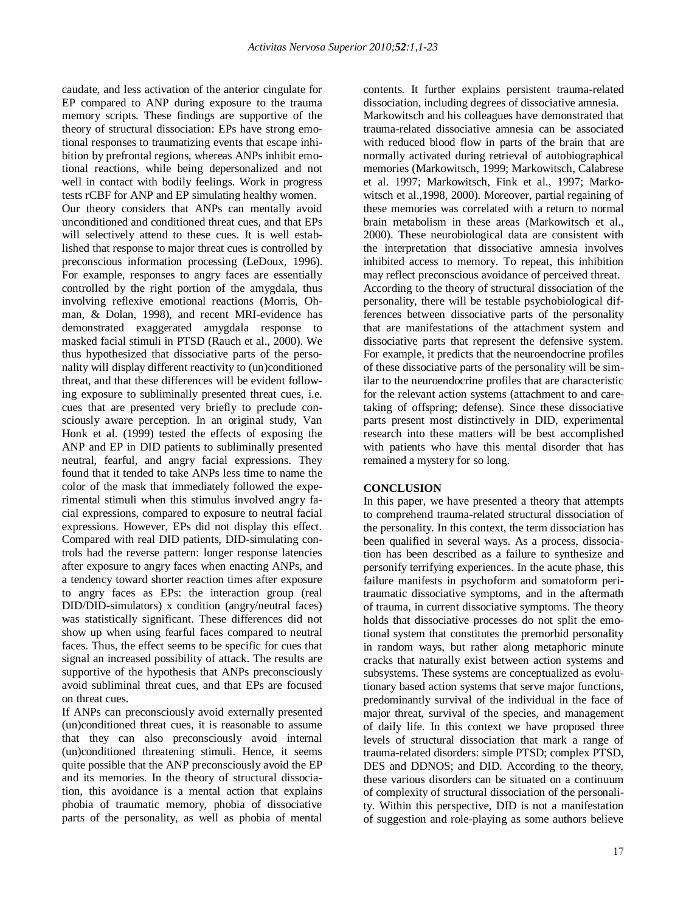caudate, and less activation of the anterior cingulate for EP compared to ANP during exposure to the trauma memory scripts. These findings are supportive of the theory of structural dissociation: EPs have strong emotional responses to traumatizing events that escape inhibition by prefrontal regions, whereas ANPs inhibit emotional reactions, while being depersonalized and not well in contact with bodily feelings. Work in progress tests rCBF for ANP and EP simulating healthy women. Our theory considers that ANPs can mentally avoid unconditioned and conditioned threat cues, and that EPs will selectively attend to these cues. It is well established that response to major threat cues is controlled by preconscious information processing (LeDoux, 1996). For example, responses to angry faces are essentially controlled by the right portion of the amygdala, thus involving reflexive emotional reactions (Morris, Ohman, & Dolan, 1998), and recent MRI-evidence has demonstrated exaggerated amygdala response to masked facial stimuli in PTSD (Rauch et al., 2000). We thus hypothesized that dissociative parts of the personality will display different reactivity to (un)conditioned threat, and that these differences will be evident following exposure to subliminally presented threat cues, i.e. cues that are presented very briefly to preclude consciously aware perception. In an original study, Van Honk et al. (1999) tested the effects of exposing the ANP and EP in DID patients to subliminally presented neutral, fearful, and angry facial expressions. They found that it tended to take ANPs less time to name the color of the mask that immediately followed the experimental stimuli when this stimulus involved angry facial expressions, compared to exposure to neutral facial expressions. However, EPs did not display this effect. Compared with real DID patients, DID-simulating controls had the reverse pattern: longer response latencies after exposure to angry faces when enacting ANPs, and a tendency toward shorter reaction times after exposure to angry faces as EPs: the interaction group (real DID/DID-simulators) x condition (angry/neutral faces) was statistically significant. These differences did not show up when using fearful faces compared to neutral faces. Thus, the effect seems to be specific for cues that signal an increased possibility of attack. The results are supportive of the hypothesis that ANPs preconsciously avoid subliminal threat cues, and that EPs are focused on threat cues.

If ANPs can preconsciously avoid externally presented (un)conditioned threat cues, it is reasonable to assume that they can also preconsciously avoid internal (un)conditioned threatening stimuli. Hence, it seems quite possible that the ANP preconsciously avoid the EP and its memories. In the theory of structural dissociation, this avoidance is a mental action that explains phobia of traumatic memory, phobia of dissociative parts of the personality, as well as phobia of mental

contents. It further explains persistent trauma-related dissociation, including degrees of dissociative amnesia. Markowitsch and his colleagues have demonstrated that trauma-related dissociative amnesia can be associated with reduced blood flow in parts of the brain that are normally activated during retrieval of autobiographical memories (Markowitsch, 1999; Markowitsch, Calabrese et al. 1997; Markowitsch, Fink et al., 1997; Markowitsch et al.,1998, 2000). Moreover, partial regaining of these memories was correlated with a return to normal brain metabolism in these areas (Markowitsch et al., 2000). These neurobiological data are consistent with the interpretation that dissociative amnesia involves inhibited access to memory. To repeat, this inhibition may reflect preconscious avoidance of perceived threat. According to the theory of structural dissociation of the personality, there will be testable psychobiological differences between dissociative parts of the personality that are manifestations of the attachment system and dissociative parts that represent the defensive system. For example, it predicts that the neuroendocrine profiles of these dissociative parts of the personality will be similar to the neuroendocrine profiles that are characteristic for the relevant action systems (attachment to and caretaking of offspring; defense). Since these dissociative parts present most distinctively in DID, experimental research into these matters will be best accomplished with patients who have this mental disorder that has remained a mystery for so long.

#### **CONCLUSION**

In this paper, we have presented a theory that attempts to comprehend trauma-related structural dissociation of the personality. In this context, the term dissociation has been qualified in several ways. As a process, dissociation has been described as a failure to synthesize and personify terrifying experiences. In the acute phase, this failure manifests in psychoform and somatoform peritraumatic dissociative symptoms, and in the aftermath of trauma, in current dissociative symptoms. The theory holds that dissociative processes do not split the emotional system that constitutes the premorbid personality in random ways, but rather along metaphoric minute cracks that naturally exist between action systems and subsystems. These systems are conceptualized as evolutionary based action systems that serve major functions, predominantly survival of the individual in the face of major threat, survival of the species, and management of daily life. In this context we have proposed three levels of structural dissociation that mark a range of trauma-related disorders: simple PTSD; complex PTSD, DES and DDNOS; and DID. According to the theory, these various disorders can be situated on a continuum of complexity of structural dissociation of the personality. Within this perspective, DID is not a manifestation of suggestion and role-playing as some authors believe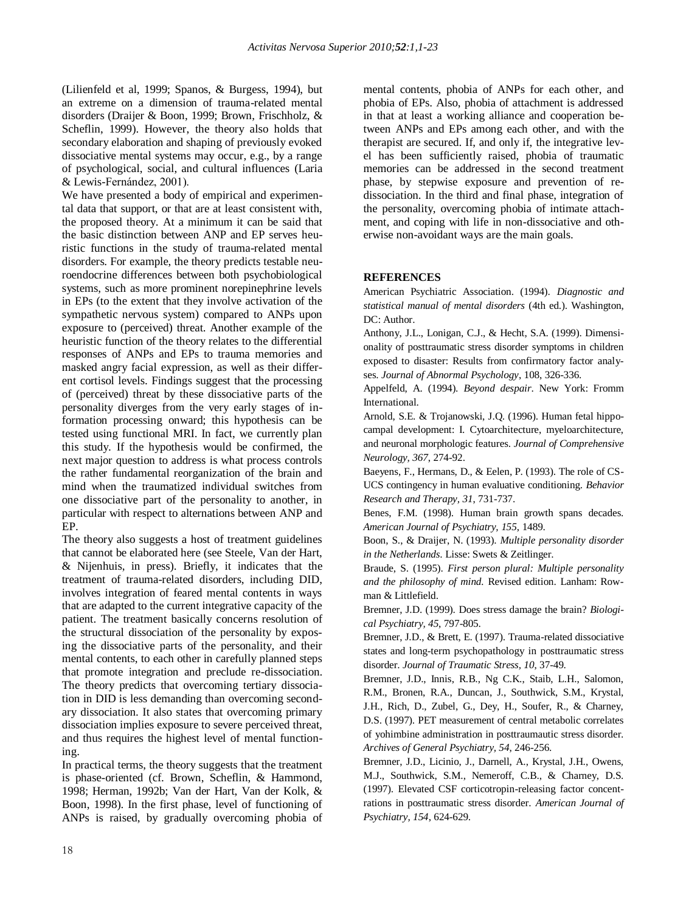(Lilienfeld et al, 1999; Spanos, & Burgess, 1994), but an extreme on a dimension of trauma-related mental disorders (Draijer & Boon, 1999; Brown, Frischholz, & Scheflin, 1999). However, the theory also holds that secondary elaboration and shaping of previously evoked dissociative mental systems may occur, e.g., by a range of psychological, social, and cultural influences (Laria & Lewis-Fernández, 2001).

We have presented a body of empirical and experimental data that support, or that are at least consistent with, the proposed theory. At a minimum it can be said that the basic distinction between ANP and EP serves heuristic functions in the study of trauma-related mental disorders. For example, the theory predicts testable neuroendocrine differences between both psychobiological systems, such as more prominent norepinephrine levels in EPs (to the extent that they involve activation of the sympathetic nervous system) compared to ANPs upon exposure to (perceived) threat. Another example of the heuristic function of the theory relates to the differential responses of ANPs and EPs to trauma memories and masked angry facial expression, as well as their different cortisol levels. Findings suggest that the processing of (perceived) threat by these dissociative parts of the personality diverges from the very early stages of information processing onward; this hypothesis can be tested using functional MRI. In fact, we currently plan this study. If the hypothesis would be confirmed, the next major question to address is what process controls the rather fundamental reorganization of the brain and mind when the traumatized individual switches from one dissociative part of the personality to another, in particular with respect to alternations between ANP and EP.

The theory also suggests a host of treatment guidelines that cannot be elaborated here (see Steele, Van der Hart, & Nijenhuis, in press). Briefly, it indicates that the treatment of trauma-related disorders, including DID, involves integration of feared mental contents in ways that are adapted to the current integrative capacity of the patient. The treatment basically concerns resolution of the structural dissociation of the personality by exposing the dissociative parts of the personality, and their mental contents, to each other in carefully planned steps that promote integration and preclude re-dissociation. The theory predicts that overcoming tertiary dissociation in DID is less demanding than overcoming secondary dissociation. It also states that overcoming primary dissociation implies exposure to severe perceived threat, and thus requires the highest level of mental functioning.

In practical terms, the theory suggests that the treatment is phase-oriented (cf. Brown, Scheflin, & Hammond, 1998; Herman, 1992b; Van der Hart, Van der Kolk, & Boon, 1998). In the first phase, level of functioning of ANPs is raised, by gradually overcoming phobia of

mental contents, phobia of ANPs for each other, and phobia of EPs. Also, phobia of attachment is addressed in that at least a working alliance and cooperation between ANPs and EPs among each other, and with the therapist are secured. If, and only if, the integrative level has been sufficiently raised, phobia of traumatic memories can be addressed in the second treatment phase, by stepwise exposure and prevention of redissociation. In the third and final phase, integration of the personality, overcoming phobia of intimate attachment, and coping with life in non-dissociative and otherwise non-avoidant ways are the main goals.

#### **REFERENCES**

American Psychiatric Association. (1994). *Diagnostic and statistical manual of mental disorders* (4th ed.). Washington, DC: Author.

Anthony, J.L., Lonigan, C.J., & Hecht, S.A. (1999). Dimensionality of posttraumatic stress disorder symptoms in children exposed to disaster: Results from confirmatory factor analyses. *Journal of Abnormal Psychology*, 108, 326-336.

Appelfeld, A. (1994). *Beyond despair*. New York: Fromm International.

Arnold, S.E. & Trojanowski, J.Q. (1996). Human fetal hippocampal development: I. Cytoarchitecture, myeloarchitecture, and neuronal morphologic features. *Journal of Comprehensive Neurology, 367*, 274-92.

Baeyens, F., Hermans, D., & Eelen, P. (1993). The role of CS-UCS contingency in human evaluative conditioning. *Behavior Research and Therapy, 31*, 731-737.

Benes, F.M. (1998). Human brain growth spans decades. *American Journal of Psychiatry, 155*, 1489.

Boon, S., & Draijer, N. (1993). *Multiple personality disorder in the Netherlands*. Lisse: Swets & Zeitlinger.

Braude, S. (1995). *First person plural: Multiple personality and the philosophy of mind.* Revised edition. Lanham: Rowman & Littlefield.

Bremner, J.D. (1999). Does stress damage the brain? *Biological Psychiatry, 45*, 797-805.

Bremner, J.D., & Brett, E. (1997). Trauma-related dissociative states and long-term psychopathology in posttraumatic stress disorder. *Journal of Traumatic Stress, 10*, 37-49.

Bremner, J.D., Innis, R.B., Ng C.K., Staib, L.H., Salomon, R.M., Bronen, R.A., Duncan, J., Southwick, S.M., Krystal, J.H., Rich, D., Zubel, G., Dey, H., Soufer, R., & Charney, D.S. (1997). PET measurement of central metabolic correlates of yohimbine administration in posttraumautic stress disorder. *Archives of General Psychiatry, 54*, 246-256.

Bremner, J.D., Licinio, J., Darnell, A., Krystal, J.H., Owens, M.J., Southwick, S.M., Nemeroff, C.B., & Charney, D.S. (1997). Elevated CSF corticotropin-releasing factor concentrations in posttraumatic stress disorder. *American Journal of Psychiatry, 154*, 624-629.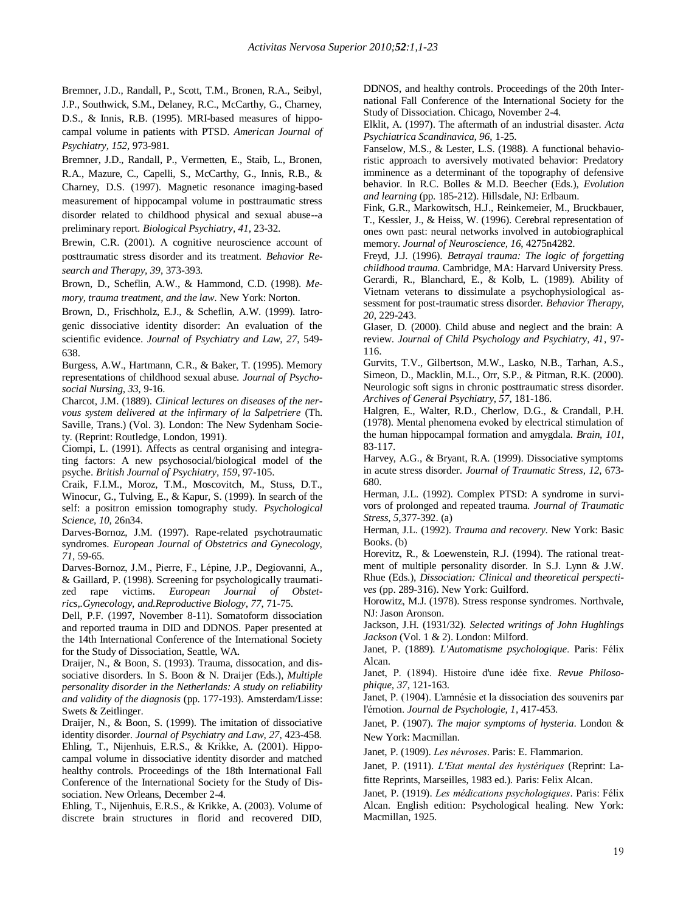Bremner, J.D., Randall, P., Scott, T.M., Bronen, R.A., Seibyl, J.P., Southwick, S.M., Delaney, R.C., McCarthy, G., Charney, D.S., & Innis, R.B. (1995). MRI-based measures of hippocampal volume in patients with PTSD. *American Journal of Psychiatry, 152*, 973-981.

Bremner, J.D., Randall, P., Vermetten, E., Staib, L., Bronen, R.A., Mazure, C., Capelli, S., McCarthy, G., Innis, R.B., & Charney, D.S. (1997). Magnetic resonance imaging-based measurement of hippocampal volume in posttraumatic stress disorder related to childhood physical and sexual abuse--a preliminary report. *Biological Psychiatry, 41*, 23-32.

Brewin, C.R. (2001). A cognitive neuroscience account of posttraumatic stress disorder and its treatment. *Behavior Research and Therapy, 39*, 373-393.

Brown, D., Scheflin, A.W., & Hammond, C.D. (1998). *Memory, trauma treatment, and the law*. New York: Norton.

Brown, D., Frischholz, E.J., & Scheflin, A.W. (1999). Iatrogenic dissociative identity disorder: An evaluation of the scientific evidence. *Journal of Psychiatry and Law, 27*, 549- 638.

Burgess, A.W., Hartmann, C.R., & Baker, T. (1995). Memory representations of childhood sexual abuse. *Journal of Psychosocial Nursing, 33*, 9-16.

Charcot, J.M. (1889). *Clinical lectures on diseases of the nervous system delivered at the infirmary of la Salpetriere* (Th. Saville, Trans.) (Vol. 3). London: The New Sydenham Society. (Reprint: Routledge, London, 1991).

Ciompi, L. (1991). Affects as central organising and integrating factors: A new psychosocial/biological model of the psyche. *British Journal of Psychiatry, 159*, 97-105.

Craik, F.I.M., Moroz, T.M., Moscovitch, M., Stuss, D.T., Winocur, G., Tulving, E., & Kapur, S. (1999). In search of the self: a positron emission tomography study. *Psychological Science, 10*, 26n34.

Darves-Bornoz, J.M. (1997). Rape-related psychotraumatic syndromes. *European Journal of Obstetrics and Gynecology, 71*, 59-65.

Darves-Bornoz, J.M., Pierre, F., Lépine, J.P., Degiovanni, A., & Gaillard, P. (1998). Screening for psychologically traumatized rape victims. *European Journal of Obstetrics,.Gynecology, and.Reproductive Biology, 77*, 71-75.

Dell, P.F. (1997, November 8-11). Somatoform dissociation and reported trauma in DID and DDNOS. Paper presented at the 14th International Conference of the International Society for the Study of Dissociation, Seattle, WA.

Draijer, N., & Boon, S. (1993). Trauma, dissocation, and dissociative disorders. In S. Boon & N. Draijer (Eds.), *Multiple personality disorder in the Netherlands: A study on reliability and validity of the diagnosis* (pp. 177-193). Amsterdam/Lisse: Swets & Zeitlinger.

Draijer, N., & Boon, S. (1999). The imitation of dissociative identity disorder. *Journal of Psychiatry and Law, 27*, 423-458. Ehling, T., Nijenhuis, E.R.S., & Krikke, A. (2001). Hippocampal volume in dissociative identity disorder and matched healthy controls. Proceedings of the 18th International Fall Conference of the International Society for the Study of Dissociation. New Orleans, December 2-4.

Ehling, T., Nijenhuis, E.R.S., & Krikke, A. (2003). Volume of discrete brain structures in florid and recovered DID,

DDNOS, and healthy controls. Proceedings of the 20th International Fall Conference of the International Society for the Study of Dissociation. Chicago, November 2-4.

Elklit, A. (1997). The aftermath of an industrial disaster. *Acta Psychiatrica Scandinavica, 96*, 1-25.

Fanselow, M.S., & Lester, L.S. (1988). A functional behavioristic approach to aversively motivated behavior: Predatory imminence as a determinant of the topography of defensive behavior. In R.C. Bolles & M.D. Beecher (Eds.), *Evolution and learning* (pp. 185-212). Hillsdale, NJ: Erlbaum.

Fink, G.R., Markowitsch, H.J., Reinkemeier, M., Bruckbauer, T., Kessler, J., & Heiss, W. (1996). Cerebral representation of ones own past: neural networks involved in autobiographical memory. *Journal of Neuroscience, 16*, 4275n4282.

Freyd, J.J. (1996). *Betrayal trauma: The logic of forgetting childhood trauma*. Cambridge, MA: Harvard University Press. Gerardi, R., Blanchard, E., & Kolb, L. (1989). Ability of Vietnam veterans to dissimulate a psychophysiological assessment for post-traumatic stress disorder. *Behavior Therapy, 20*, 229-243.

Glaser, D. (2000). Child abuse and neglect and the brain: A review. *Journal of Child Psychology and Psychiatry, 41*, 97- 116.

Gurvits, T.V., Gilbertson, M.W., Lasko, N.B., Tarhan, A.S., Simeon, D., Macklin, M.L., Orr, S.P., & Pitman, R.K. (2000). Neurologic soft signs in chronic posttraumatic stress disorder. *Archives of General Psychiatry, 57*, 181-186.

Halgren, E., Walter, R.D., Cherlow, D.G., & Crandall, P.H. (1978). Mental phenomena evoked by electrical stimulation of the human hippocampal formation and amygdala. *Brain, 101*, 83-117.

Harvey, A.G., & Bryant, R.A. (1999). Dissociative symptoms in acute stress disorder. *Journal of Traumatic Stress, 12*, 673- 680.

Herman, J.L. (1992). Complex PTSD: A syndrome in survivors of prolonged and repeated trauma. *Journal of Traumatic Stress, 5*,377-392. (a)

Herman, J.L. (1992). *Trauma and recovery*. New York: Basic Books. (b)

Horevitz, R., & Loewenstein, R.J. (1994). The rational treatment of multiple personality disorder. In S.J. Lynn & J.W. Rhue (Eds.), *Dissociation: Clinical and theoretical perspectives* (pp. 289-316). New York: Guilford.

Horowitz, M.J. (1978). Stress response syndromes. Northvale, NJ: Jason Aronson.

Jackson, J.H. (1931/32). *Selected writings of John Hughlings Jackson* (Vol. 1 & 2). London: Milford.

Janet, P. (1889). *L'Automatisme psychologique*. Paris: Félix Alcan.

Janet, P. (1894). Histoire d'une idée fixe. *Revue Philosophique, 37*, 121-163.

Janet, P. (1904). L'amnésie et la dissociation des souvenirs par l'émotion. *Journal de Psychologie, 1*, 417-453.

Janet, P. (1907). *The major symptoms of hysteria*. London & New York: Macmillan.

Janet, P. (1909). *Les névroses*. Paris: E. Flammarion.

Janet, P. (1911). *L'Etat mental des hystériques* (Reprint: Lafitte Reprints, Marseilles, 1983 ed.). Paris: Felix Alcan.

Janet, P. (1919). *Les médications psychologiques*. Paris: Félix Alcan. English edition: Psychological healing. New York: Macmillan, 1925.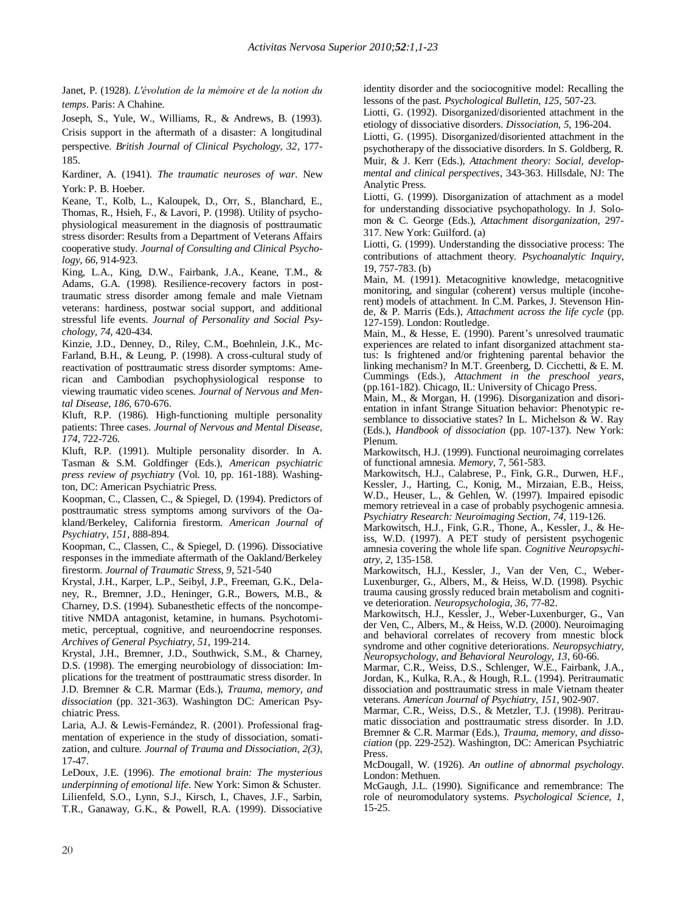Janet, P. (1928). *L'évolution de la mémoire et de la notion du temps*. Paris: A Chahine.

Joseph, S., Yule, W., Williams, R., & Andrews, B. (1993). Crisis support in the aftermath of a disaster: A longitudinal perspective. *British Journal of Clinical Psychology, 32*, 177- 185.

Kardiner, A. (1941). *The traumatic neuroses of war*. New York: P. B. Hoeber.

Keane, T., Kolb, L., Kaloupek, D., Orr, S., Blanchard, E., Thomas, R., Hsieh, F., & Lavori, P. (1998). Utility of psychophysiological measurement in the diagnosis of posttraumatic stress disorder: Results from a Department of Veterans Affairs cooperative study. *Journal of Consulting and Clinical Psychology, 66*, 914-923.

King, L.A., King, D.W., Fairbank, J.A., Keane, T.M., & Adams, G.A. (1998). Resilience-recovery factors in posttraumatic stress disorder among female and male Vietnam veterans: hardiness, postwar social support, and additional stressful life events. *Journal of Personality and Social Psychology, 74*, 420-434.

Kinzie, J.D., Denney, D., Riley, C.M., Boehnlein, J.K., Mc-Farland, B.H., & Leung, P. (1998). A cross-cultural study of reactivation of posttraumatic stress disorder symptoms: American and Cambodian psychophysiological response to viewing traumatic video scenes. *Journal of Nervous and Mental Disease, 186*, 670-676.

Kluft, R.P. (1986). High-functioning multiple personality patients: Three cases. *Journal of Nervous and Mental Disease, 174*, 722-726.

Kluft, R.P. (1991). Multiple personality disorder. In A. Tasman & S.M. Goldfinger (Eds.), *American psychiatric press review of psychiatry* (Vol. 10, pp. 161-188). Washington, DC: American Psychiatric Press.

Koopman, C., Classen, C., & Spiegel, D. (1994). Predictors of posttraumatic stress symptoms among survivors of the Oakland/Berkeley, California firestorm. *American Journal of Psychiatry, 151*, 888-894.

Koopman, C., Classen, C., & Spiegel, D. (1996). Dissociative responses in the immediate aftermath of the Oakland/Berkeley firestorm. *Journal of Traumatic Stress, 9*, 521-540

Krystal, J.H., Karper, L.P., Seibyl, J.P., Freeman, G.K., Delaney, R., Bremner, J.D., Heninger, G.R., Bowers, M.B., & Charney, D.S. (1994). Subanesthetic effects of the noncompetitive NMDA antagonist, ketamine, in humans. Psychotomimetic, perceptual, cognitive, and neuroendocrine responses. *Archives of General Psychiatry, 51*, 199-214.

Krystal, J.H., Bremner, J.D., Southwick, S.M., & Charney, D.S. (1998). The emerging neurobiology of dissociation: Implications for the treatment of posttraumatic stress disorder. In J.D. Bremner & C.R. Marmar (Eds.), *Trauma, memory, and dissociation* (pp. 321-363). Washington DC: American Psychiatric Press.

Laria, A.J. & Lewis-Fernández, R. (2001). Professional fragmentation of experience in the study of dissociation, somatization, and culture. *Journal of Trauma and Dissociation, 2(3)*, 17-47.

LeDoux, J.E. (1996). *The emotional brain: The mysterious underpinning of emotional life*. New York: Simon & Schuster. Lilienfeld, S.O., Lynn, S.J., Kirsch, I., Chaves, J.F., Sarbin, T.R., Ganaway, G.K., & Powell, R.A. (1999). Dissociative

identity disorder and the sociocognitive model: Recalling the lessons of the past. *Psychological Bulletin, 125*, 507-23.

Liotti, G. (1992). Disorganized/disoriented attachment in the etiology of dissociative disorders. *Dissociation, 5*, 196-204.

Liotti, G. (1995). Disorganized/disoriented attachment in the psychotherapy of the dissociative disorders. In S. Goldberg, R. Muir, & J. Kerr (Eds.), *Attachment theory: Social, developmental and clinical perspectives*, 343-363. Hillsdale, NJ: The Analytic Press.

Liotti, G. (1999). Disorganization of attachment as a model for understanding dissociative psychopathology. In J. Solomon & C. George (Eds.), *Attachment disorganization*, 297- 317. New York: Guilford. (a)

Liotti, G. (1999). Understanding the dissociative process: The contributions of attachment theory. *Psychoanalytic Inquiry*, 19, 757-783. (b)

Main, M. (1991). Metacognitive knowledge, metacognitive monitoring, and singular (coherent) versus multiple (incoherent) models of attachment. In C.M. Parkes, J. Stevenson Hinde, & P. Marris (Eds.), *Attachment across the life cycle* (pp. 127-159). London: Routledge.

Main, M., & Hesse, E. (1990). Parent's unresolved traumatic experiences are related to infant disorganized attachment status: Is frightened and/or frightening parental behavior the linking mechanism? In M.T. Greenberg, D. Cicchetti, & E. M. Cummings (Eds.), *Attachment in the preschool years*, (pp.161-182). Chicago, IL: University of Chicago Press.

Main, M., & Morgan, H. (1996). Disorganization and disorientation in infant Strange Situation behavior: Phenotypic resemblance to dissociative states? In L. Michelson  $& \hat{W}$ . Ray (Eds.), *Handbook of dissociation* (pp. 107-137). New York: Plenum.

Markowitsch, H.J. (1999). Functional neuroimaging correlates of functional amnesia. *Memory*, 7, 561-583.

Markowitsch, H.J., Calabrese, P., Fink, G.R., Durwen, H.F., Kessler, J., Harting, C., Konig, M., Mirzaian, E.B., Heiss, W.D., Heuser, L., & Gehlen, W. (1997). Impaired episodic memory retrieveal in a case of probably psychogenic amnesia. *Psychiatry Research: Neuroimaging Section, 74*, 119-126.

Markowitsch, H.J., Fink, G.R., Thone, A., Kessler, J., & Heiss, W.D. (1997). A PET study of persistent psychogenic amnesia covering the whole life span. *Cognitive Neuropsychiatry, 2*, 135-158.

Markowitsch, H.J., Kessler, J., Van der Ven, C., Weber-Luxenburger, G., Albers, M., & Heiss, W.D. (1998). Psychic trauma causing grossly reduced brain metabolism and cognitive deterioration. *Neuropsychologia, 36*, 77-82.

Markowitsch, H.J., Kessler, J., Weber-Luxenburger, G., Van der Ven, C., Albers, M., & Heiss, W.D. (2000). Neuroimaging and behavioral correlates of recovery from mnestic block syndrome and other cognitive deteriorations. *Neuropsychiatry, Neuropsychology, and Behavioral Neurology, 13*, 60-66.

Marmar, C.R., Weiss, D.S., Schlenger, W.E., Fairbank, J.A., Jordan, K., Kulka, R.A., & Hough, R.L. (1994). Peritraumatic dissociation and posttraumatic stress in male Vietnam theater veterans. *American Journal of Psychiatry, 151*, 902-907.

Marmar, C.R., Weiss, D.S., & Metzler, T.J. (1998). Peritraumatic dissociation and posttraumatic stress disorder. In J.D. Bremner & C.R. Marmar (Eds.), *Trauma, memory, and dissociation* (pp. 229-252). Washington, DC: American Psychiatric Press.

McDougall, W. (1926). *An outline of abnormal psychology*. London: Methuen.

McGaugh, J.L. (1990). Significance and remembrance: The role of neuromodulatory systems. *Psychological Science, 1*, 15-25.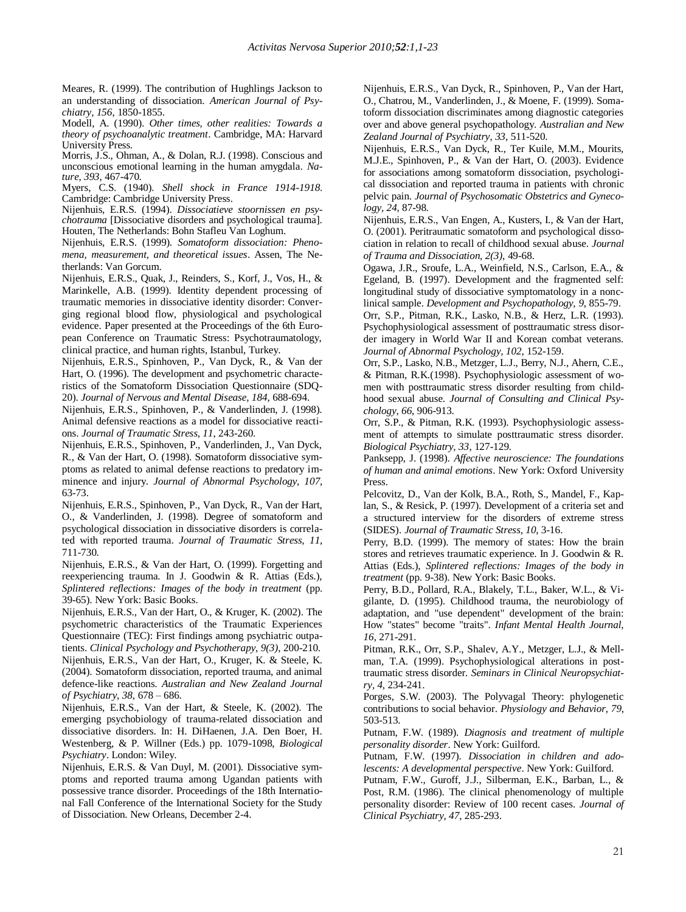Meares, R. (1999). The contribution of Hughlings Jackson to an understanding of dissociation. *American Journal of Psychiatry, 156*, 1850-1855.

Modell, A. (1990). *Other times, other realities: Towards a theory of psychoanalytic treatment*. Cambridge, MA: Harvard University Press.

Morris, J.S., Ohman, A., & Dolan, R.J. (1998). Conscious and unconscious emotional learning in the human amygdala. *Nature, 393*, 467-470.

Myers, C.S. (1940). *Shell shock in France 1914-1918*. Cambridge: Cambridge University Press.

Nijenhuis, E.R.S. (1994). *Dissociatieve stoornissen en psychotrauma* [Dissociative disorders and psychological trauma]. Houten, The Netherlands: Bohn Stafleu Van Loghum.

Nijenhuis, E.R.S. (1999). *Somatoform dissociation: Phenomena, measurement, and theoretical issues*. Assen, The Netherlands: Van Gorcum.

Nijenhuis, E.R.S., Quak, J., Reinders, S., Korf, J., Vos, H., & Marinkelle, A.B. (1999). Identity dependent processing of traumatic memories in dissociative identity disorder: Converging regional blood flow, physiological and psychological evidence. Paper presented at the Proceedings of the 6th European Conference on Traumatic Stress: Psychotraumatology, clinical practice, and human rights, Istanbul, Turkey.

Nijenhuis, E.R.S., Spinhoven, P., Van Dyck, R., & Van der Hart, O. (1996). The development and psychometric characteristics of the Somatoform Dissociation Questionnaire (SDQ-20). *Journal of Nervous and Mental Disease, 184*, 688-694.

Nijenhuis, E.R.S., Spinhoven, P., & Vanderlinden, J. (1998). Animal defensive reactions as a model for dissociative reactions. *Journal of Traumatic Stress, 11*, 243-260.

Nijenhuis, E.R.S., Spinhoven, P., Vanderlinden, J., Van Dyck, R., & Van der Hart, O. (1998). Somatoform dissociative symptoms as related to animal defense reactions to predatory imminence and injury. *Journal of Abnormal Psychology, 107*, 63-73.

Nijenhuis, E.R.S., Spinhoven, P., Van Dyck, R., Van der Hart, O., & Vanderlinden, J. (1998). Degree of somatoform and psychological dissociation in dissociative disorders is correlated with reported trauma. *Journal of Traumatic Stress, 11*, 711-730.

Nijenhuis, E.R.S., & Van der Hart, O. (1999). Forgetting and reexperiencing trauma. In J. Goodwin & R. Attias (Eds.), *Splintered reflections: Images of the body in treatment* (pp. 39-65). New York: Basic Books.

Nijenhuis, E.R.S., Van der Hart, O., & Kruger, K. (2002). The psychometric characteristics of the Traumatic Experiences Questionnaire (TEC): First findings among psychiatric outpatients. *Clinical Psychology and Psychotherapy, 9(3)*, 200-210. Nijenhuis, E.R.S., Van der Hart, O., Kruger, K. & Steele, K. (2004). Somatoform dissociation, reported trauma, and animal defence-like reactions. *Australian and New Zealand Journal of Psychiatry, 38*, 678 – 686.

Nijenhuis, E.R.S., Van der Hart, & Steele, K. (2002). The emerging psychobiology of trauma-related dissociation and dissociative disorders. In: H. DiHaenen, J.A. Den Boer, H. Westenberg, & P. Willner (Eds.) pp. 1079-1098, *Biological Psychiatry*. London: Wiley.

Nijenhuis, E.R.S. & Van Duyl, M. (2001). Dissociative symptoms and reported trauma among Ugandan patients with possessive trance disorder. Proceedings of the 18th International Fall Conference of the International Society for the Study of Dissociation. New Orleans, December 2-4.

Nijenhuis, E.R.S., Van Dyck, R., Spinhoven, P., Van der Hart, O., Chatrou, M., Vanderlinden, J., & Moene, F. (1999). Somatoform dissociation discriminates among diagnostic categories over and above general psychopathology. *Australian and New Zealand Journal of Psychiatry, 33*, 511-520.

Nijenhuis, E.R.S., Van Dyck, R., Ter Kuile, M.M., Mourits, M.J.E., Spinhoven, P., & Van der Hart, O. (2003). Evidence for associations among somatoform dissociation, psychological dissociation and reported trauma in patients with chronic pelvic pain. *Journal of Psychosomatic Obstetrics and Gynecology, 24*, 87-98.

Nijenhuis, E.R.S., Van Engen, A., Kusters, I., & Van der Hart, O. (2001). Peritraumatic somatoform and psychological dissociation in relation to recall of childhood sexual abuse. *Journal of Trauma and Dissociation, 2(3)*, 49-68.

Ogawa, J.R., Sroufe, L.A., Weinfield, N.S., Carlson, E.A., & Egeland, B. (1997). Development and the fragmented self: longitudinal study of dissociative symptomatology in a nonclinical sample. *Development and Psychopathology, 9*, 855-79. Orr, S.P., Pitman, R.K., Lasko, N.B., & Herz, L.R. (1993). Psychophysiological assessment of posttraumatic stress disorder imagery in World War II and Korean combat veterans. *Journal of Abnormal Psychology, 102*, 152-159.

Orr, S.P., Lasko, N.B., Metzger, L.J., Berry, N.J., Ahern, C.E., & Pitman, R.K.(1998). Psychophysiologic assessment of women with posttraumatic stress disorder resulting from childhood sexual abuse. *Journal of Consulting and Clinical Psychology, 66*, 906-913.

Orr, S.P., & Pitman, R.K. (1993). Psychophysiologic assessment of attempts to simulate posttraumatic stress disorder. *Biological Psychiatry, 33*, 127-129.

Panksepp, J. (1998). *Affective neuroscience: The foundations of human and animal emotions*. New York: Oxford University Press.

Pelcovitz, D., Van der Kolk, B.A., Roth, S., Mandel, F., Kaplan, S., & Resick, P. (1997). Development of a criteria set and a structured interview for the disorders of extreme stress (SIDES). *Journal of Traumatic Stress, 10*, 3-16.

Perry, B.D. (1999). The memory of states: How the brain stores and retrieves traumatic experience. In J. Goodwin & R. Attias (Eds.), *Splintered reflections: Images of the body in treatment* (pp. 9-38). New York: Basic Books.

Perry, B.D., Pollard, R.A., Blakely, T.L., Baker, W.L., & Vigilante, D. (1995). Childhood trauma, the neurobiology of adaptation, and "use dependent" development of the brain: How "states" become "traits". *Infant Mental Health Journal, 16*, 271-291.

Pitman, R.K., Orr, S.P., Shalev, A.Y., Metzger, L.J., & Mellman, T.A. (1999). Psychophysiological alterations in posttraumatic stress disorder. *Seminars in Clinical Neuropsychiatry, 4*, 234-241.

Porges, S.W. (2003). The Polyvagal Theory: phylogenetic contributions to social behavior. *Physiology and Behavior, 79*, 503-513.

Putnam, F.W. (1989). *Diagnosis and treatment of multiple personality disorder*. New York: Guilford.

Putnam, F.W. (1997). *Dissociation in children and adolescents: A developmental perspective*. New York: Guilford.

Putnam, F.W., Guroff, J.J., Silberman, E.K., Barban, L., & Post, R.M. (1986). The clinical phenomenology of multiple personality disorder: Review of 100 recent cases. *Journal of Clinical Psychiatry, 47*, 285-293.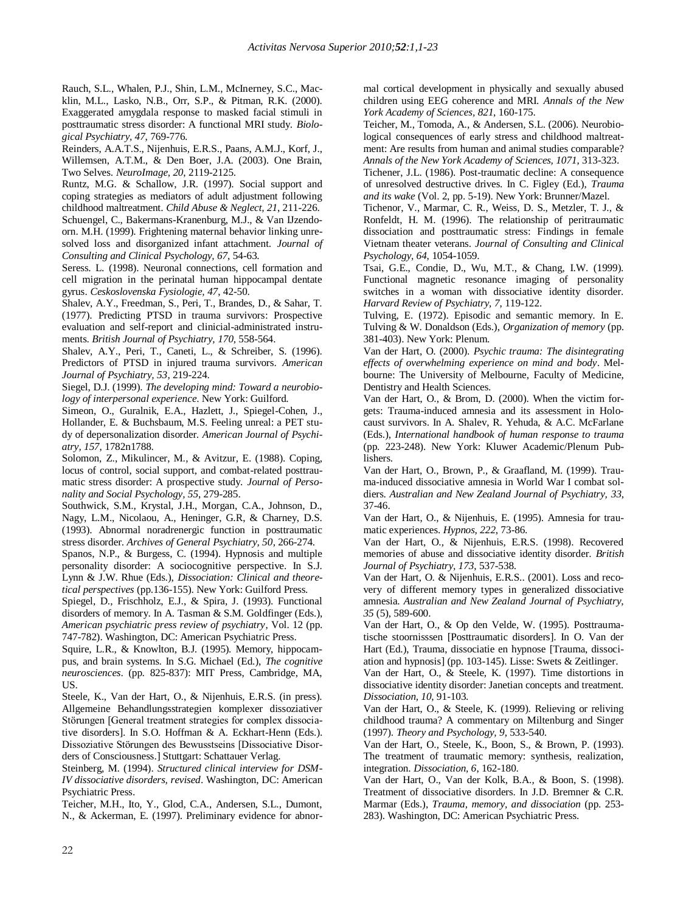Rauch, S.L., Whalen, P.J., Shin, L.M., McInerney, S.C., Macklin, M.L., Lasko, N.B., Orr, S.P., & Pitman, R.K. (2000). Exaggerated amygdala response to masked facial stimuli in posttraumatic stress disorder: A functional MRI study. *Biological Psychiatry, 47*, 769-776.

Reinders, A.A.T.S., Nijenhuis, E.R.S., Paans, A.M.J., Korf, J., Willemsen, A.T.M., & Den Boer, J.A. (2003). One Brain, Two Selves. *NeuroImage, 20*, 2119-2125.

Runtz, M.G. & Schallow, J.R. (1997). Social support and coping strategies as mediators of adult adjustment following childhood maltreatment. *Child Abuse & Neglect, 21*, 211-226. Schuengel, C., Bakermans-Kranenburg, M.J., & Van IJzendoorn. M.H. (1999). Frightening maternal behavior linking unre-

solved loss and disorganized infant attachment. *Journal of Consulting and Clinical Psychology, 67*, 54-63.

Seress. L. (1998). Neuronal connections, cell formation and cell migration in the perinatal human hippocampal dentate gyrus. *Ceskoslovenska Fysiologie, 47*, 42-50.

Shalev, A.Y., Freedman, S., Peri, T., Brandes, D., & Sahar, T. (1977). Predicting PTSD in trauma survivors: Prospective evaluation and self-report and clinicial-administrated instruments. *British Journal of Psychiatry, 170*, 558-564.

Shalev, A.Y., Peri, T., Caneti, L., & Schreiber, S. (1996). Predictors of PTSD in injured trauma survivors. *American Journal of Psychiatry, 53*, 219-224.

Siegel, D.J. (1999). *The developing mind: Toward a neurobiology of interpersonal experience*. New York: Guilford.

Simeon, O., Guralnik, E.A., Hazlett, J., Spiegel-Cohen, J., Hollander, E. & Buchsbaum, M.S. Feeling unreal: a PET study of depersonalization disorder. *American Journal of Psychiatry, 157*, 1782n1788.

Solomon, Z., Mikulincer, M., & Avitzur, E. (1988). Coping, locus of control, social support, and combat-related posttraumatic stress disorder: A prospective study. *Journal of Personality and Social Psychology, 55*, 279-285.

Southwick, S.M., Krystal, J.H., Morgan, C.A., Johnson, D., Nagy, L.M., Nicolaou, A., Heninger, G.R, & Charney, D.S. (1993). Abnormal noradrenergic function in posttraumatic stress disorder. *Archives of General Psychiatry, 50*, 266-274.

Spanos, N.P., & Burgess, C. (1994). Hypnosis and multiple personality disorder: A sociocognitive perspective. In S.J. Lynn & J.W. Rhue (Eds.), *Dissociation: Clinical and theoretical perspectives* (pp.136-155). New York: Guilford Press.

Spiegel, D., Frischholz, E.J., & Spira, J. (1993). Functional disorders of memory. In A. Tasman & S.M. Goldfinger (Eds.), *American psychiatric press review of psychiatry*, Vol. 12 (pp. 747-782). Washington, DC: American Psychiatric Press.

Squire, L.R., & Knowlton, B.J. (1995). Memory, hippocampus, and brain systems. In S.G. Michael (Ed.), *The cognitive neurosciences*. (pp. 825-837): MIT Press, Cambridge, MA, US.

Steele, K., Van der Hart, O., & Nijenhuis, E.R.S. (in press). Allgemeine Behandlungsstrategien komplexer dissoziativer Störungen [General treatment strategies for complex dissociative disorders]. In S.O. Hoffman & A. Eckhart-Henn (Eds.). Dissoziative Störungen des Bewusstseins [Dissociative Disorders of Consciousness.] Stuttgart: Schattauer Verlag.

Steinberg, M. (1994). *Structured clinical interview for DSM-IV dissociative disorders, revised*. Washington, DC: American Psychiatric Press.

Teicher, M.H., Ito, Y., Glod, C.A., Andersen, S.L., Dumont, N., & Ackerman, E. (1997). Preliminary evidence for abnormal cortical development in physically and sexually abused children using EEG coherence and MRI. *Annals of the New York Academy of Sciences, 821*, 160-175.

Teicher, M., Tomoda, A., & Andersen, S.L. (2006). Neurobiological consequences of early stress and childhood maltreatment: Are results from human and animal studies comparable? *Annals of the New York Academy of Sciences, 1071*, 313-323.

Tichener, J.L. (1986). Post-traumatic decline: A consequence of unresolved destructive drives. In C. Figley (Ed.), *Trauma and its wake* (Vol. 2, pp. 5-19). New York: Brunner/Mazel.

Tichenor, V., Marmar, C. R., Weiss, D. S., Metzler, T. J., & Ronfeldt, H. M. (1996). The relationship of peritraumatic dissociation and posttraumatic stress: Findings in female Vietnam theater veterans. *Journal of Consulting and Clinical Psychology, 64*, 1054-1059.

Tsai, G.E., Condie, D., Wu, M.T., & Chang, I.W. (1999). Functional magnetic resonance imaging of personality switches in a woman with dissociative identity disorder. *Harvard Review of Psychiatry, 7*, 119-122.

Tulving, E. (1972). Episodic and semantic memory. In E. Tulving & W. Donaldson (Eds.), *Organization of memory* (pp. 381-403). New York: Plenum.

Van der Hart, O. (2000). *Psychic trauma: The disintegrating effects of overwhelming experience on mind and body*. Melbourne: The University of Melbourne, Faculty of Medicine, Dentistry and Health Sciences.

Van der Hart, O., & Brom, D. (2000). When the victim forgets: Trauma-induced amnesia and its assessment in Holocaust survivors. In A. Shalev, R. Yehuda, & A.C. McFarlane (Eds.), *International handbook of human response to trauma* (pp. 223-248). New York: Kluwer Academic/Plenum Publishers.

Van der Hart, O., Brown, P., & Graafland, M. (1999). Trauma-induced dissociative amnesia in World War I combat soldiers. *Australian and New Zealand Journal of Psychiatry, 33*, 37-46.

Van der Hart, O., & Nijenhuis, E. (1995). Amnesia for traumatic experiences. *Hypnos, 222*, 73-86.

Van der Hart, O., & Nijenhuis, E.R.S. (1998). Recovered memories of abuse and dissociative identity disorder. *British Journal of Psychiatry, 173*, 537-538.

Van der Hart, O. & Nijenhuis, E.R.S.. (2001). Loss and recovery of different memory types in generalized dissociative amnesia. *Australian and New Zealand Journal of Psychiatry, 35* (5), 589-600.

Van der Hart, O., & Op den Velde, W. (1995). Posttraumatische stoornisssen [Posttraumatic disorders]. In O. Van der Hart (Ed.), Trauma, dissociatie en hypnose [Trauma, dissociation and hypnosis] (pp. 103-145). Lisse: Swets & Zeitlinger.

Van der Hart, O., & Steele, K. (1997). Time distortions in dissociative identity disorder: Janetian concepts and treatment. *Dissociation, 10*, 91-103.

Van der Hart, O., & Steele, K. (1999). Relieving or reliving childhood trauma? A commentary on Miltenburg and Singer (1997). *Theory and Psychology, 9*, 533-540.

Van der Hart, O., Steele, K., Boon, S., & Brown, P. (1993). The treatment of traumatic memory: synthesis, realization, integration. *Dissociation, 6*, 162-180.

Van der Hart, O., Van der Kolk, B.A., & Boon, S. (1998). Treatment of dissociative disorders. In J.D. Bremner & C.R. Marmar (Eds.), *Trauma, memory, and dissociation* (pp. 253- 283). Washington, DC: American Psychiatric Press.